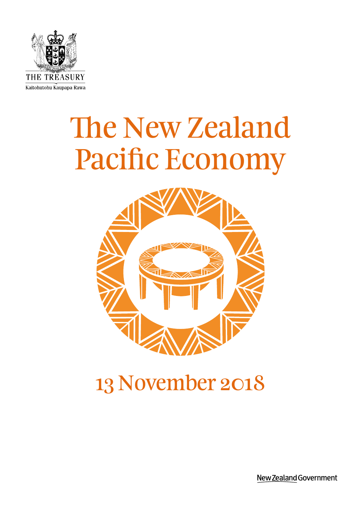

# The New Zealand Pacific Economy



# 13 November 2018

New Zealand Government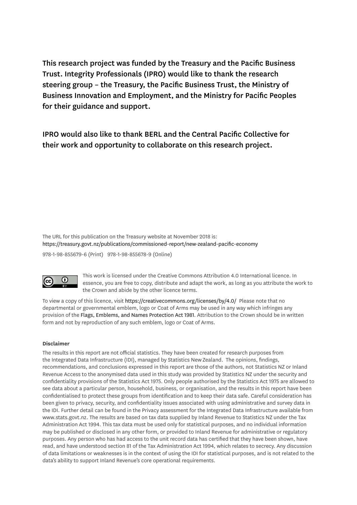This research project was funded by the Treasury and the Pacific Business Trust. Integrity Professionals (IPRO) would like to thank the research steering group – the Treasury, the Pacific Business Trust, the Ministry of Business Innovation and Employment, and the Ministry for Pacific Peoples for their guidance and support.

IPRO would also like to thank BERL and the Central Pacific Collective for their work and opportunity to collaborate on this research project.

The URL for this publication on the Treasury website at November 2018 is: https://treasury.govt.nz/publications/commissioned-report/new-zealand-pacific-economy

978-1-98-855679-6 (Print) 978-1-98-855678-9 (Online)



This work is licensed under the Creative Commons Attribution 4.0 International licence. In essence, you are free to copy, distribute and adapt the work, as long as you attribute the work to the Crown and abide by the other licence terms.

To view a copy of this licence, visit https://creativecommons.org/licenses/by/4.0/ Please note that no departmental or governmental emblem, logo or Coat of Arms may be used in any way which infringes any provision of the Flags, Emblems, and Names Protection Act 1981. Attribution to the Crown should be in written form and not by reproduction of any such emblem, logo or Coat of Arms.

#### **Disclaimer**

The results in this report are not official statistics. They have been created for research purposes from the Integrated Data Infrastructure (IDI), managed by Statistics New Zealand. The opinions, findings, recommendations, and conclusions expressed in this report are those of the authors, not Statistics NZ or Inland Revenue Access to the anonymised data used in this study was provided by Statistics NZ under the security and confidentiality provisions of the Statistics Act 1975. Only people authorised by the Statistics Act 1975 are allowed to see data about a particular person, household, business, or organisation, and the results in this report have been confidentialised to protect these groups from identification and to keep their data safe. Careful consideration has been given to privacy, security, and confidentiality issues associated with using administrative and survey data in the IDI. Further detail can be found in the Privacy assessment for the Integrated Data Infrastructure available from www.stats.govt.nz. The results are based on tax data supplied by Inland Revenue to Statistics NZ under the Tax Administration Act 1994. This tax data must be used only for statistical purposes, and no individual information may be published or disclosed in any other form, or provided to Inland Revenue for administrative or regulatory purposes. Any person who has had access to the unit record data has certified that they have been shown, have read, and have understood section 81 of the Tax Administration Act 1994, which relates to secrecy. Any discussion of data limitations or weaknesses is in the context of using the IDI for statistical purposes, and is not related to the data's ability to support Inland Revenue's core operational requirements.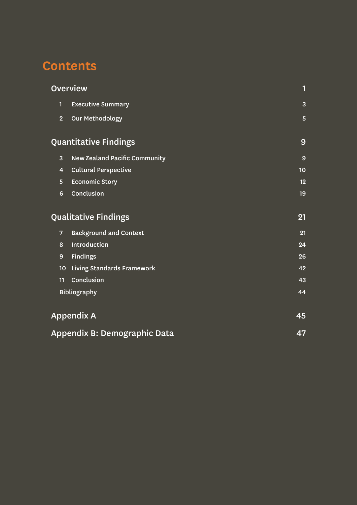# **Contents**

|                  | <b>Overview</b>                      | 1              |
|------------------|--------------------------------------|----------------|
| 1                | <b>Executive Summary</b>             | $\overline{3}$ |
| $\overline{2}$   | <b>Our Methodology</b>               | $5\phantom{.}$ |
|                  | <b>Quantitative Findings</b>         | 9              |
| 3                | <b>New Zealand Pacific Community</b> | 9              |
| 4                | <b>Cultural Perspective</b>          | 10             |
| 5                | <b>Economic Story</b>                | 12             |
| $6\phantom{a}$   | Conclusion                           | 19             |
|                  | <b>Qualitative Findings</b>          | 21             |
| 7                | <b>Background and Context</b>        | 21             |
| 8                | Introduction                         | 24             |
| $\boldsymbol{9}$ | <b>Findings</b>                      | 26             |
| 10               | <b>Living Standards Framework</b>    | 42             |
| 11               | Conclusion                           | 43             |
|                  | <b>Bibliography</b>                  | 44             |
|                  | <b>Appendix A</b>                    | 45             |
|                  | Appendix B: Demographic Data         | 47             |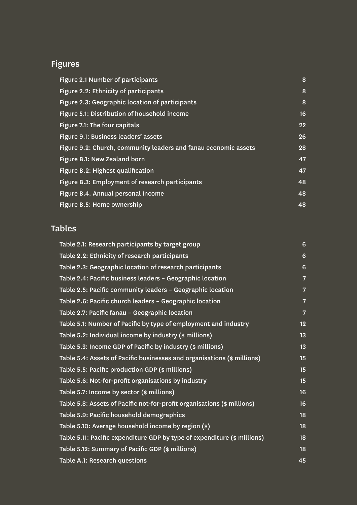# Figures

| <b>Figure 2.1 Number of participants</b>                        | 8  |
|-----------------------------------------------------------------|----|
| Figure 2.2: Ethnicity of participants                           | 8  |
| Figure 2.3: Geographic location of participants                 | 8  |
| Figure 5.1: Distribution of household income                    | 16 |
| Figure 7.1: The four capitals                                   | 22 |
| Figure 9.1: Business leaders' assets                            | 26 |
| Figure 9.2: Church, community leaders and fanau economic assets | 28 |
| Figure B.1: New Zealand born                                    | 47 |
| Figure B.2: Highest qualification                               | 47 |
| Figure B.3: Employment of research participants                 | 48 |
| Figure B.4. Annual personal income                              | 48 |
| Figure B.5: Home ownership                                      | 48 |

# Tables

| Table 2.1: Research participants by target group                         | 6              |
|--------------------------------------------------------------------------|----------------|
| Table 2.2: Ethnicity of research participants                            | 6              |
| Table 2.3: Geographic location of research participants                  | $6\phantom{1}$ |
| Table 2.4: Pacific business leaders - Geographic location                | $\overline{7}$ |
| Table 2.5: Pacific community leaders - Geographic location               | $\overline{7}$ |
| Table 2.6: Pacific church leaders - Geographic location                  | $\overline{7}$ |
| Table 2.7: Pacific fanau - Geographic location                           | $\overline{7}$ |
| Table 5.1: Number of Pacific by type of employment and industry          | 12             |
| Table 5.2: Individual income by industry (\$ millions)                   | 13             |
| Table 5.3: Income GDP of Pacific by industry (\$ millions)               | 13             |
| Table 5.4: Assets of Pacific businesses and organisations (\$ millions)  | 15             |
| Table 5.5: Pacific production GDP (\$ millions)                          | 15             |
| Table 5.6: Not-for-profit organisations by industry                      | 15             |
| Table 5.7: Income by sector (\$ millions)                                | 16             |
| Table 5.8: Assets of Pacific not-for-profit organisations (\$ millions)  | 16             |
| Table 5.9: Pacific household demographics                                | 18             |
| Table 5.10: Average household income by region (\$)                      | 18             |
| Table 5.11: Pacific expenditure GDP by type of expenditure (\$ millions) | 18             |
| Table 5.12: Summary of Pacific GDP (\$ millions)                         | 18             |
| Table A.1: Research questions                                            | 45             |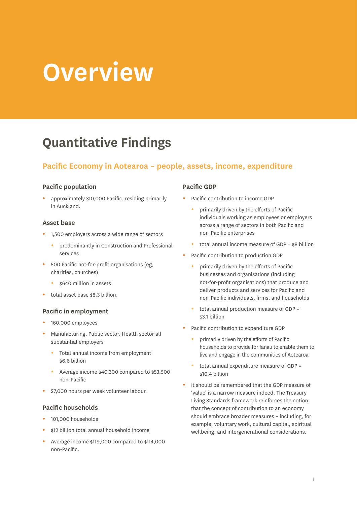# <span id="page-4-0"></span>**Overview**

# **Quantitative Findings**

## **Pacific Economy in Aotearoa – people, assets, income, expenditure**

#### **Pacific population**

approximately 310,000 Pacific, residing primarily in Auckland.

#### **Asset base**

- 1,500 employers across a wide range of sectors
	- predominantly in Construction and Professional services
- 500 Pacific not-for-profit organisations (eg, charities, churches)
	- \$640 million in assets
- total asset base \$8.3 billion.

#### **Pacific in employment**

- 160,000 employees
- Manufacturing, Public sector, Health sector all substantial employers
	- Total annual income from employment \$6.6 billion
	- Average income \$40,300 compared to \$53,500 non-Pacific
- 27,000 hours per week volunteer labour.

#### **Pacific households**

- 101,000 households
- \$12 billion total annual household income
- Average income \$119,000 compared to \$114,000 non-Pacific.

#### **Pacific GDP**

- Pacific contribution to income GDP
	- primarily driven by the efforts of Pacific individuals working as employees or employers across a range of sectors in both Pacific and non-Pacific enterprises
	- total annual income measure of GDP =  $$8$  billion
- Pacific contribution to production GDP
	- primarily driven by the efforts of Pacific businesses and organisations (including not-for-profit organisations) that produce and deliver products and services for Pacific and non-Pacific individuals, firms, and households
	- total annual production measure of GDP  $=$ \$3.1 billion
- Pacific contribution to expenditure GDP
	- primarily driven by the efforts of Pacific households to provide for fanau to enable them to live and engage in the communities of Aotearoa
	- total annual expenditure measure of GDP = \$10.4 billion
- It should be remembered that the GDP measure of 'value' is a narrow measure indeed. The Treasury Living Standards framework reinforces the notion that the concept of contribution to an economy should embrace broader measures – including, for example, voluntary work, cultural capital, spiritual wellbeing, and intergenerational considerations.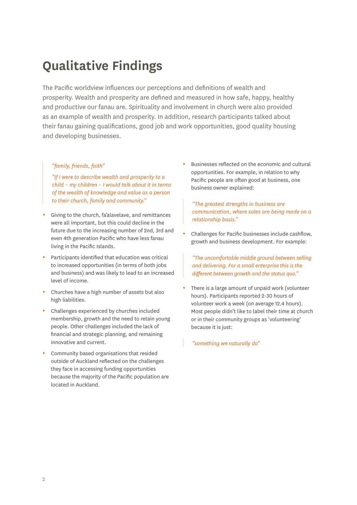# **Qualitative Findings**

The Pacific worldview influences our perceptions and definitions of wealth and prosperity. Wealth and prosperity are defined and measured in how safe, happy, healthy and productive our fanau are. Spirituality and involvement in church were also provided as an example of wealth and prosperity. In addition, research participants talked about their fanau gaining qualifications, good job and work opportunities, good quality housing and developing businesses.

#### *"family, friends, faith"*

*"If I were to describe wealth and prosperity to a child – my children – I would talk about it in terms of the wealth of knowledge and value as a person to their church, family and community."*

- Giving to the church, fa'alavelave, and remittances were all important, but this could decline in the future due to the increasing number of 2nd, 3rd and even 4th generation Pacific who have less fanau living in the Pacific Islands.
- Participants identified that education was critical to increased opportunities (in terms of both jobs and business) and was likely to lead to an increased level of income.
- Churches have a high number of assets but also high liabilities.
- Challenges experienced by churches included membership, growth and the need to retain young people. Other challenges included the lack of financial and strategic planning, and remaining innovative and current.
- Community based organisations that resided outside of Auckland reflected on the challenges they face in accessing funding opportunities because the majority of the Pacific population are located in Auckland.

Businesses reflected on the economic and cultural opportunities. For example, in relation to why Pacific people are often good at business, one business owner explained:

*"The greatest strengths in business are communication, where sales are being made on a relationship basis."*

Challenges for Pacific businesses include cashflow, growth and business development. For example:

*"The uncomfortable middle ground between selling and delivering. For a small enterprise this is the different between growth and the status quo."*

There is a large amount of unpaid work (volunteer hours). Participants reported 2-30 hours of volunteer work a week (on average 12.4 hours). Most people didn't like to label their time at church or in their community groups as 'volunteering' because it is just:

*"something we naturally do"*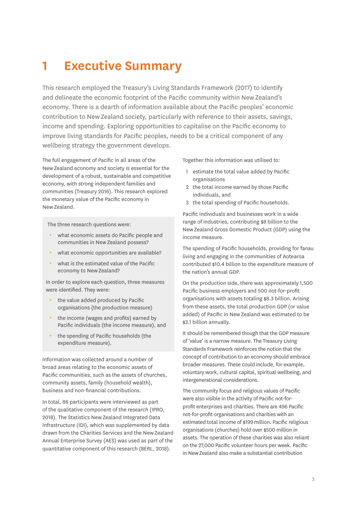# <span id="page-6-0"></span>**1 Executive Summary**

This research employed the Treasury's Living Standards Framework (2017) to identify and delineate the economic footprint of the Pacific community within New Zealand's economy. There is a dearth of information available about the Pacific peoples' economic contribution to New Zealand society, particularly with reference to their assets, savings, income and spending. Exploring opportunities to capitalise on the Pacific economy to improve living standards for Pacific peoples, needs to be a critical component of any wellbeing strategy the government develops.

The full engagement of Pacific in all areas of the New Zealand economy and society is essential for the development of a robust, sustainable and competitive economy, with strong independent families and communities (Treasury 2016). This research explored the monetary value of the Pacific economy in New Zealand.

The three research questions were:

- what economic assets do Pacific people and communities in New Zealand possess?
- what economic opportunities are available?
- what is the estimated value of the Pacific economy to New Zealand?

In order to explore each question, three measures were identified. They were:

- the value added produced by Pacific organisations (the production measure)
- the income (wages and profits) earned by Pacific individuals (the income measure), and
- $\bullet$  the spending of Pacific households (the expenditure measure).

Information was collected around a number of broad areas relating to the economic assets of Pacific communities, such as the assets of churches, community assets, family (household wealth), business and non-financial contributions.

In total, 86 participants were interviewed as part of the qualitative component of the research (IPRO, 2018). The Statistics New Zealand Integrated Data Infrastructure (IDI), which was supplemented by data drawn from the Charities Services and the New Zealand Annual Enterprise Survey (AES) was used as part of the quantitative component of this research (BERL, 2018).

Together this information was utilised to:

- 1 estimate the total value added by Pacific organisations
- 2 the total income earned by those Pacific individuals, and
- 3 the total spending of Pacific households.

Pacific individuals and businesses work in a wide range of industries, contributing \$8 billion to the New Zealand Gross Domestic Product (GDP) using the income measure.

The spending of Pacific households, providing for fanau living and engaging in the communities of Aotearoa contributed \$10.4 billion to the expenditure measure of the nation's annual GDP.

On the production side, there was approximately 1,500 Pacific business employers and 500 not-for-profit organisations with assets totaling \$8.3 billion. Arising from these assets, the total production GDP (or value added) of Pacific in New Zealand was estimated to be \$3.1 billion annually.

It should be remembered though that the GDP measure of 'value' is a narrow measure. The Treasury Living Standards Framework reinforces the notion that the concept of contribution to an economy should embrace broader measures. These could include, for example, voluntary work, cultural capital, spiritual wellbeing, and intergenerational considerations.

The community focus and religious values of Pacific were also visible in the activity of Pacific not-forprofit enterprises and charities. There are 496 Pacific not-for-profit organisations and charities with an estimated total income of \$199 million. Pacific religious organisations (churches) hold over \$500 million in assets. The operation of these charities was also reliant on the 27,000 Pacific volunteer hours per week. Pacific in New Zealand also make a substantial contribution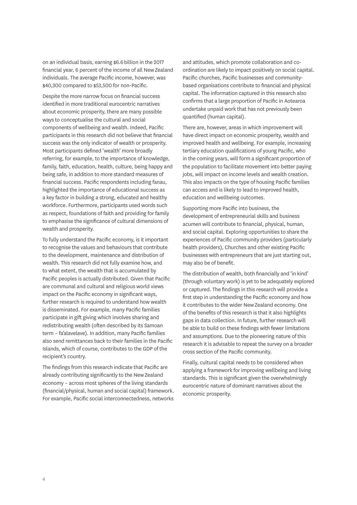on an individual basis, earning \$6.6 billion in the 2017 financial year, 6 percent of the income of all New Zealand individuals. The average Pacific income, however, was \$40,300 compared to \$53,500 for non-Pacific.

Despite the more narrow focus on financial success identified in more traditional eurocentric narratives about economic prosperity, there are many possible ways to conceptualise the cultural and social components of wellbeing and wealth. Indeed, Pacific participants in this research did not believe that financial success was the only indicator of wealth or prosperity. Most participants defined 'wealth' more broadly referring, for example, to the importance of knowledge, family, faith, education, health, culture, being happy and being safe, in addition to more standard measures of financial success. Pacific respondents including fanau, highlighted the importance of educational success as a key factor in building a strong, educated and healthy workforce. Furthermore, participants used words such as respect, foundations of faith and providing for family to emphasise the significance of cultural dimensions of wealth and prosperity.

To fully understand the Pacific economy, is it important to recognise the values and behaviours that contribute to the development, maintenance and distribution of wealth. This research did not fully examine how, and to what extent, the wealth that is accumulated by Pacific peoples is actually distributed. Given that Pacific are communal and cultural and religious world views impact on the Pacific economy in significant ways, further research is required to understand how wealth is disseminated. For example, many Pacific families participate in gift giving which involves sharing and redistributing wealth (often described by its Samoan term – fa'alavelave). In addition, many Pacific families also send remittances back to their families in the Pacific Islands, which of course, contributes to the GDP of the recipient's country.

The findings from this research indicate that Pacific are already contributing significantly to the New Zealand economy – across most spheres of the living standards (financial/physical, human and social capital) framework. For example, Pacific social interconnectedness, networks and attitudes, which promote collaboration and coordination are likely to impact positively on social capital. Pacific churches, Pacific businesses and communitybased organisations contribute to financial and physical capital. The information captured in this research also confirms that a large proportion of Pacific in Aotearoa undertake unpaid work that has not previously been quantified (human capital).

There are, however, areas in which improvement will have direct impact on economic prosperity, wealth and improved health and wellbeing. For example, increasing tertiary education qualifications of young Pacific, who in the coming years, will form a significant proportion of the population to facilitate movement into better paying jobs, will impact on income levels and wealth creation. This also impacts on the type of housing Pacific families can access and is likely to lead to improved health, education and wellbeing outcomes.

Supporting more Pacific into business, the development of entrepreneurial skills and business acumen will contribute to financial, physical, human, and social capital. Exploring opportunities to share the experiences of Pacific community providers (particularly health providers), Churches and other existing Pacific businesses with entrepreneurs that are just starting out, may also be of benefit.

The distribution of wealth, both financially and 'in kind' (through voluntary work) is yet to be adequately explored or captured. The findings in this research will provide a first step in understanding the Pacific economy and how it contributes to the wider New Zealand economy. One of the benefits of this research is that it also highlights gaps in data collection. In future, further research will be able to build on these findings with fewer limitations and assumptions. Due to the pioneering nature of this research it is advisable to repeat the survey on a broader cross section of the Pacific community.

Finally, cultural capital needs to be considered when applying a framework for improving wellbeing and living standards. This is significant given the overwhelmingly eurocentric nature of dominant narratives about the economic prosperity.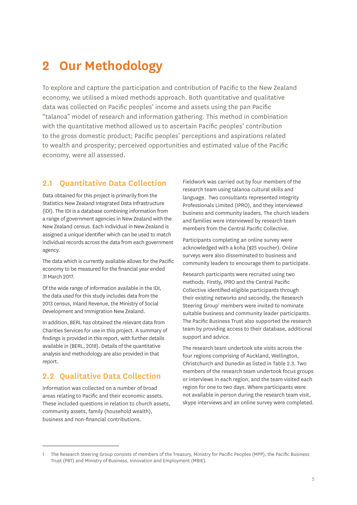# <span id="page-8-0"></span>**2 Our Methodology**

To explore and capture the participation and contribution of Pacific to the New Zealand economy, we utilised a mixed methods approach. Both quantitative and qualitative data was collected on Pacific peoples' income and assets using the pan Pacific "talanoa" model of research and information gathering. This method in combination with the quantitative method allowed us to ascertain Pacific peoples' contribution to the gross domestic product; Pacific peoples' perceptions and aspirations related to wealth and prosperity; perceived opportunities and estimated value of the Pacific economy, were all assessed.

### **2.1 Quantitative Data Collection**

Data obtained for this project is primarily from the Statistics New Zealand Integrated Data Infrastructure (IDI). The IDI is a database combining information from a range of government agencies in New Zealand with the New Zealand census. Each individual in New Zealand is assigned a unique identifier which can be used to match individual records across the data from each government agency.

The data which is currently available allows for the Pacific economy to be measured for the financial year ended 31 March 2017.

Of the wide range of information available in the IDI, the data used for this study includes data from the 2013 census, Inland Revenue, the Ministry of Social Development and Immigration New Zealand.

In addition, BERL has obtained the relevant data from Charities Services for use in this project. A summary of findings is provided in this report, with further details available in (BERL, 2018). Details of the quantitative analysis and methodology are also provided in that report.

## **2.2 Qualitative Data Collection**

Information was collected on a number of broad areas relating to Pacific and their economic assets. These included questions in relation to church assets, community assets, family (household wealth), business and non-financial contributions.

Fieldwork was carried out by four members of the research team using talanoa cultural skills and language. Two consultants represented Integrity Professionals Limited (IPRO), and they interviewed business and community leaders. The church leaders and families were interviewed by research team members from the Central Pacific Collective.

Participants completing an online survey were acknowledged with a koha (\$25 voucher). Online surveys were also disseminated to business and community leaders to encourage them to participate.

Research participants were recruited using two methods. Firstly, IPRO and the Central Pacific Collective identified eligible participants through their existing networks and secondly, the Research Steering Group<sup>1</sup> members were invited to nominate suitable business and community leader participants. The Pacific Business Trust also supported the research team by providing access to their database, additional support and advice.

The research team undertook site visits across the four regions comprising of Auckland, Wellington, Christchurch and Dunedin as listed in Table 2.3. Two members of the research team undertook focus groups or interviews in each region, and the team visited each region for one to two days. Where participants were not available in person during the research team visit, skype interviews and an online survey were completed.

<sup>1</sup> The Research Steering Group consists of members of the Treasury, Ministry for Pacific Peoples (MPP), the Pacific Business Trust (PBT) and Ministry of Business, Innovation and Employment (MBIE).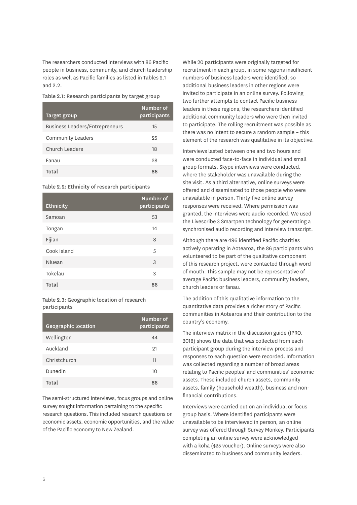<span id="page-9-0"></span>The researchers conducted interviews with 86 Pacific people in business, community, and church leadership roles as well as Pacific families as listed in Tables 2.1  $and 0.0$ 

Table 2.1: Research participants by target group

| Target group                          | Number of<br>participants |
|---------------------------------------|---------------------------|
| <b>Business Leaders/Entrepreneurs</b> | 15                        |
| <b>Community Leaders</b>              | 25                        |
| Church Leaders                        | 18                        |
| Fanau                                 | 28                        |
| Total                                 | 86                        |

Table 2.2: Ethnicity of research participants

| <b>Ethnicity</b> | Number of<br>participants |
|------------------|---------------------------|
| Samoan           | 53                        |
| Tongan           | 14                        |
| Fijian           | 8                         |
| Cook Island      | 5                         |
| Niuean           | 3                         |
| Tokelau          | 3                         |
| Total            | 86                        |

Table 2.3: Geographic location of research participants

| <b>Geographic location</b> | Number of<br>participants |
|----------------------------|---------------------------|
| Wellington                 | 44                        |
| Auckland                   | 91                        |
| Christchurch               | 11                        |
| Dunedin                    | 10                        |
| Total                      | ឧស                        |

The semi-structured interviews, focus groups and online survey sought information pertaining to the specific research questions. This included research questions on economic assets, economic opportunities, and the value of the Pacific economy to New Zealand.

While 20 participants were originally targeted for recruitment in each group, in some regions insufficient numbers of business leaders were identified, so additional business leaders in other regions were invited to participate in an online survey. Following two further attempts to contact Pacific business leaders in these regions, the researchers identified additional community leaders who were then invited to participate. The rolling recruitment was possible as there was no intent to secure a random sample – this element of the research was qualitative in its objective.

Interviews lasted between one and two hours and were conducted face-to-face in individual and small group formats. Skype interviews were conducted, where the stakeholder was unavailable during the site visit. As a third alternative, online surveys were offered and disseminated to those people who were unavailable in person. Thirty-five online survey responses were received. Where permission was granted, the interviews were audio recorded. We used the Livescribe 3 Smartpen technology for generating a synchronised audio recording and interview transcript.

Although there are 496 identified Pacific charities actively operating in Aotearoa, the 86 participants who volunteered to be part of the qualitative component of this research project, were contacted through word of mouth. This sample may not be representative of average Pacific business leaders, community leaders, church leaders or fanau.

The addition of this qualitative information to the quantitative data provides a richer story of Pacific communities in Aotearoa and their contribution to the country's economy.

The interview matrix in the discussion guide (IPRO, 2018) shows the data that was collected from each participant group during the interview process and responses to each question were recorded. Information was collected regarding a number of broad areas relating to Pacific peoples' and communities' economic assets. These included church assets, community assets, family (household wealth), business and nonfinancial contributions.

Interviews were carried out on an individual or focus group basis. Where identified participants were unavailable to be interviewed in person, an online survey was offered through Survey Monkey. Participants completing an online survey were acknowledged with a koha (\$25 voucher). Online surveys were also disseminated to business and community leaders.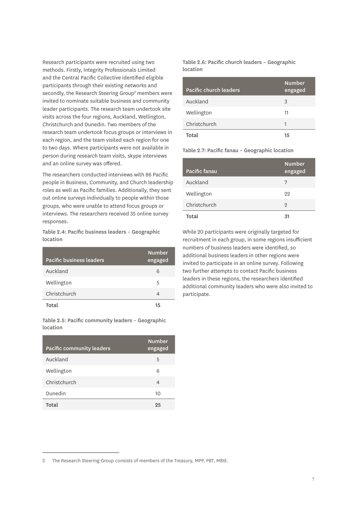<span id="page-10-0"></span>Research participants were recruited using two methods. Firstly, Integrity Professionals Limited and the Central Pacific Collective identified eligible participants through their existing networks and secondly, the Research Steering Group<sup>2</sup> members were invited to nominate suitable business and community leader participants. The research team undertook site visits across the four regions, Auckland, Wellington, Christchurch and Dunedin. Two members of the research team undertook focus groups or interviews in each region, and the team visited each region for one to two days. Where participants were not available in person during research team visits, skype interviews and an online survey was offered.

The researchers conducted interviews with 86 Pacific people in Business, Community, and Church leadership roles as well as Pacific families. Additionally, they sent out online surveys individually to people within those groups, who were unable to attend focus groups or interviews. The researchers received 35 online survey responses.

Table 2.4: Pacific business leaders – Geographic location

| Pacific business leaders | <b>Number</b><br>engaged |
|--------------------------|--------------------------|
| Auckland                 | 6                        |
| Wellington               | 5                        |
| Christchurch             | 4                        |
| Total                    | 15                       |

Table 2.5: Pacific community leaders – Geographic location

| Pacific community leaders | <b>Number</b><br>engaged |
|---------------------------|--------------------------|
| Auckland                  | 5                        |
| Wellington                | 6                        |
| Christchurch              | 4                        |
| Dunedin                   | 10                       |
| Total                     | 25                       |

Table 2.6: Pacific church leaders – Geographic location

| Pacific church leaders | <b>Number</b><br>engaged |
|------------------------|--------------------------|
| Auckland               | 3                        |
| Wellington             | 11                       |
| Christchurch           | 1                        |
| Total                  | 15                       |

Table 2.7: Pacific fanau – Geographic location

| Pacific fanau | <b>Number</b><br>engaged |
|---------------|--------------------------|
| Auckland      | 7                        |
| Wellington    | 22                       |
| Christchurch  | $\overline{2}$           |
| Total         | 31                       |

While 20 participants were originally targeted for recruitment in each group, in some regions insufficient numbers of business leaders were identified, so additional business leaders in other regions were invited to participate in an online survey. Following two further attempts to contact Pacific business leaders in these regions, the researchers identified additional community leaders who were also invited to participate.

<sup>2</sup> The Research Steering Group consists of members of the Treasury, MPP, PBT, MBIE.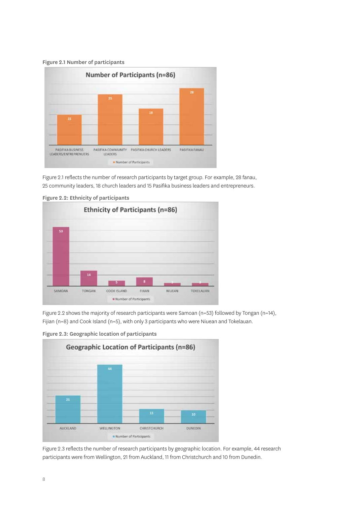<span id="page-11-0"></span>



Figure 2.1 reflects the number of research participants by target group. For example, 28 fanau, 25 community leaders, 18 church leaders and 15 Pasifika business leaders and entrepreneurs.



Figure 2.2: Ethnicity of participants

Figure 2.2 shows the majority of research participants were Samoan (n=53) followed by Tongan (n=14), Fijian (n=8) and Cook Island (n=5), with only 3 participants who were Niuean and Tokelauan.





Figure 2.3 reflects the number of research participants by geographic location. For example, 44 research participants were from Wellington, 21 from Auckland, 11 from Christchurch and 10 from Dunedin.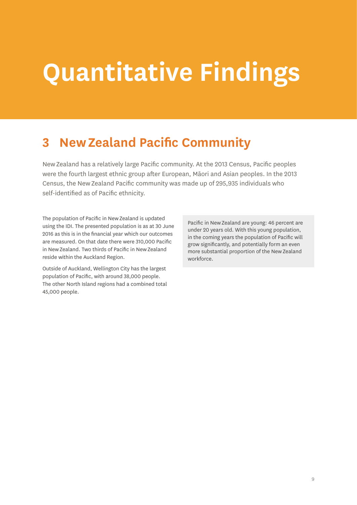# <span id="page-12-0"></span>**Quantitative Findings**

# **3 New Zealand Pacific Community**

New Zealand has a relatively large Pacific community. At the 2013 Census, Pacific peoples were the fourth largest ethnic group after European, Māori and Asian peoples. In the 2013 Census, the New Zealand Pacific community was made up of 295,935 individuals who self-identified as of Pacific ethnicity.

The population of Pacific in New Zealand is updated using the IDI. The presented population is as at 30 June 2016 as this is in the financial year which our outcomes are measured. On that date there were 310,000 Pacific in New Zealand. Two thirds of Pacific in New Zealand reside within the Auckland Region.

Outside of Auckland, Wellington City has the largest population of Pacific, with around 38,000 people. The other North Island regions had a combined total 45,000 people.

Pacific in New Zealand are young: 46 percent are under 20 years old. With this young population, in the coming years the population of Pacific will grow significantly, and potentially form an even more substantial proportion of the New Zealand workforce.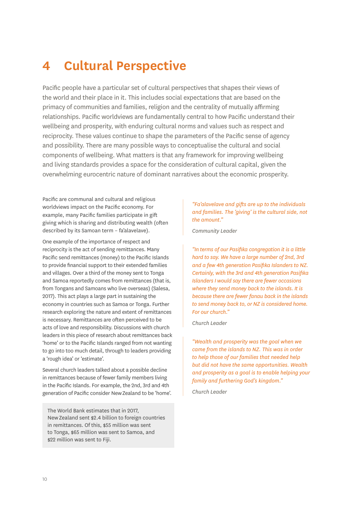# <span id="page-13-0"></span>**4 Cultural Perspective**

Pacific people have a particular set of cultural perspectives that shapes their views of the world and their place in it. This includes social expectations that are based on the primacy of communities and families, religion and the centrality of mutually affirming relationships. Pacific worldviews are fundamentally central to how Pacific understand their wellbeing and prosperity, with enduring cultural norms and values such as respect and reciprocity. These values continue to shape the parameters of the Pacific sense of agency and possibility. There are many possible ways to conceptualise the cultural and social components of wellbeing. What matters is that any framework for improving wellbeing and living standards provides a space for the consideration of cultural capital, given the overwhelming eurocentric nature of dominant narratives about the economic prosperity.

Pacific are communal and cultural and religious worldviews impact on the Pacific economy. For example, many Pacific families participate in gift giving which is sharing and distributing wealth (often described by its Samoan term – fa'alavelave).

One example of the importance of respect and reciprocity is the act of sending remittances. Many Pacific send remittances (money) to the Pacific Islands to provide financial support to their extended families and villages. Over a third of the money sent to Tonga and Samoa reportedly comes from remittances (that is, from Tongans and Samoans who live overseas) (Salesa, 2017). This act plays a large part in sustaining the economy in countries such as Samoa or Tonga. Further research exploring the nature and extent of remittances is necessary. Remittances are often perceived to be acts of love and responsibility. Discussions with church leaders in this piece of research about remittances back 'home' or to the Pacific Islands ranged from not wanting to go into too much detail, through to leaders providing a 'rough idea' or 'estimate'.

Several church leaders talked about a possible decline in remittances because of fewer family members living in the Pacific Islands. For example, the 2nd, 3rd and 4th generation of Pacific consider New Zealand to be 'home'.

The World Bank estimates that in 2017, New Zealand sent \$2.4 billion to foreign countries in remittances. Of this, \$55 million was sent to Tonga, \$65 million was sent to Samoa, and \$22 million was sent to Fiji.

#### *"Fa'alavelave and gifts are up to the individuals and families. The 'giving' is the cultural side, not the amount."*

*Community Leader*

*"In terms of our Pasifika congregation it is a little hard to say. We have a large number of 2nd, 3rd and a few 4th generation Pasifika Islanders to NZ. Certainly, with the 3rd and 4th generation Pasifika Islanders I would say there are fewer occasions where they send money back to the islands. It is because there are fewer fanau back in the islands to send money back to, or NZ is considered home. For our church."*

*Church Leader* 

*"Wealth and prosperity was the goal when we came from the islands to NZ. This was in order to help those of our families that needed help but did not have the same opportunities. Wealth and prosperity as a goal is to enable helping your family and furthering God's kingdom."*

*Church Leader*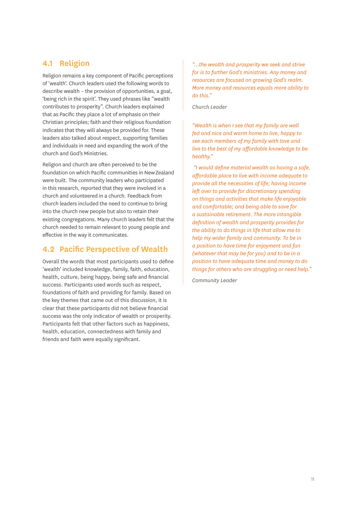# **4.1 Religion**

Religion remains a key component of Pacific perceptions of 'wealth'. Church leaders used the following words to describe wealth – the provision of opportunities, a goal, 'being rich in the spirit'. They used phrases like "wealth contributes to prosperity". Church leaders explained that as Pacific they place a lot of emphasis on their Christian principles; faith and their religious foundation indicates that they will always be provided for. These leaders also talked about respect, supporting families and individuals in need and expanding the work of the church and God's Ministries.

Religion and church are often perceived to be the foundation on which Pacific communities in New Zealand were built. The community leaders who participated in this research, reported that they were involved in a church and volunteered in a church. Feedback from church leaders included the need to continue to bring into the church new people but also to retain their existing congregations. Many church leaders felt that the church needed to remain relevant to young people and effective in the way it communicates.

### **4.2 Pacific Perspective of Wealth**

Overall the words that most participants used to define 'wealth' included knowledge, family, faith, education, health, culture, being happy, being safe and financial success. Participants used words such as respect, foundations of faith and providing for family. Based on the key themes that came out of this discussion, it is clear that these participants did not believe financial success was the only indicator of wealth or prosperity. Participants felt that other factors such as happiness, health, education, connectedness with family and friends and faith were equally significant.

*"…the wealth and prosperity we seek and strive for is to further God's ministries. Any money and resources are focused on growing God's realm. More money and resources equals more ability to do this."*

#### *Church Leader*

*"Wealth is when I see that my family are well fed and nice and warm home to live, happy to see each members of my family with love and live to the best of my affordable knowledge to be healthy."*

 *"I would define material wealth as having a safe, affordable place to live with income adequate to provide all the necessities of life; having income left over to provide for discretionary spending on things and activities that make life enjoyable and comfortable; and being able to save for a sustainable retirement. The more intangible definition of wealth and prosperity provides for the ability to do things in life that allow me to help my wider family and community. To be in a position to have time for enjoyment and fun (whatever that may be for you) and to be in a position to have adequate time and money to do things for others who are struggling or need help."*

*Community Leader*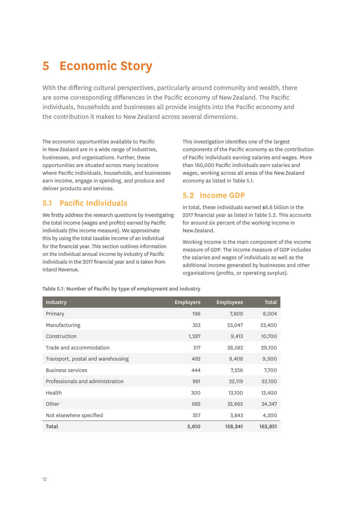# <span id="page-15-0"></span>**5 Economic Story**

With the differing cultural perspectives, particularly around community and wealth, there are some corresponding differences in the Pacific economy of New Zealand. The Pacific individuals, households and businesses all provide insights into the Pacific economy and the contribution it makes to New Zealand across several dimensions.

The economic opportunities available to Pacific in New Zealand are in a wide range of industries, businesses, and organisations. Further, these opportunities are situated across many locations where Pacific individuals, households, and businesses earn income, engage in spending, and produce and deliver products and services.

### **5.1 Pacific Individuals**

We firstly address the research questions by investigating the total income (wages and profits) earned by Pacific individuals (the income measure). We approximate this by using the total taxable income of an individual for the financial year. This section outlines information on the individual annual income by industry of Pacific individuals in the 2017 financial year and is taken from Inland Revenue.

This investigation identifies one of the largest components of the Pacific economy as the contribution of Pacific individuals earning salaries and wages. More than 160,000 Pacific individuals earn salaries and wages, working across all areas of the New Zealand economy as listed in Table 5.1.

### **5.2 Income GDP**

In total, these individuals earned \$6.6 billion in the 2017 financial year as listed in Table 5.2. This accounts for around six percent of the working income in New Zealand.

Working income is the main component of the income measure of GDP. The income measure of GDP includes the salaries and wages of individuals as well as the additional income generated by businesses and other organisations (profits, or operating surplus).

| Industry                          | <b>Employers</b> | <b>Employees</b> | <b>Total</b> |
|-----------------------------------|------------------|------------------|--------------|
| Primary                           | 196              | 7,809            | 8,004        |
| Manufacturing                     | 353              | 23,047           | 23,400       |
| Construction                      | 1,287            | 9,413            | 10,700       |
| Trade and accommodation           | 517              | 28,583           | 29,100       |
| Transport, postal and warehousing | 492              | 9,408            | 9,900        |
| <b>Business services</b>          | 444              | 7,256            | 7,700        |
| Professionals and administration  | 981              | 22,119           | 23,100       |
| Health                            | 300              | 13,100           | 13,400       |
| Other                             | 682              | 33,665           | 34,347       |
| Not elsewhere specified           | 357              | 3,843            | 4,200        |
| Total                             | 5,610            | 158,241          | 163,851      |

Table 5.1: Number of Pacific by type of employment and industry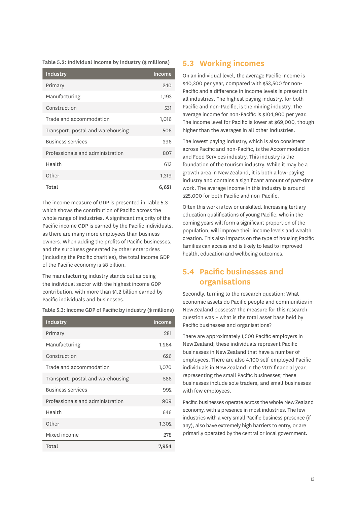<span id="page-16-0"></span>Table 5.2: Individual income by industry (\$ millions)

| Industry                          | Income |
|-----------------------------------|--------|
| Primary                           | 240    |
| Manufacturing                     | 1,193  |
| Construction                      | 531    |
| Trade and accommodation           | 1,016  |
| Transport, postal and warehousing | 506    |
| <b>Business services</b>          | 396    |
| Professionals and administration  | 807    |
| Health                            | 613    |
| Other                             | 1,319  |
| Total                             | 6,621  |

The income measure of GDP is presented in Table 5.3 which shows the contribution of Pacific across the whole range of industries. A significant majority of the Pacific income GDP is earned by the Pacific individuals, as there are many more employees than business owners. When adding the profits of Pacific businesses, and the surpluses generated by other enterprises (including the Pacific charities), the total income GDP of the Pacific economy is \$8 billion.

The manufacturing industry stands out as being the individual sector with the highest income GDP contribution, with more than \$1.2 billion earned by Pacific individuals and businesses.

| Table 5.3: Income GDP of Pacific by industry (\$ millions) |  |
|------------------------------------------------------------|--|
|------------------------------------------------------------|--|

| Industry                          | <b>Income</b> |
|-----------------------------------|---------------|
| Primary                           | 281           |
| Manufacturing                     | 1,264         |
| Construction                      | 626           |
| Trade and accommodation           | 1,070         |
| Transport, postal and warehousing | 586           |
| <b>Business services</b>          | 992           |
| Professionals and administration  | 909           |
| Health                            | 646           |
| Other                             | 1,302         |
| Mixed income                      | 278           |
| Total                             | 7,954         |

### **5.3 Working incomes**

On an individual level, the average Pacific income is \$40,300 per year, compared with \$53,500 for non-Pacific and a difference in income levels is present in all industries. The highest paying industry, for both Pacific and non-Pacific, is the mining industry. The average income for non-Pacific is \$104,900 per year. The income level for Pacific is lower at \$69,000, though higher than the averages in all other industries.

The lowest paying industry, which is also consistent across Pacific and non-Pacific, is the Accommodation and Food Services industry. This industry is the foundation of the tourism industry. While it may be a growth area in New Zealand, it is both a low-paying industry and contains a significant amount of part-time work. The average income in this industry is around \$25,000 for both Pacific and non-Pacific.

Often this work is low or unskilled. Increasing tertiary education qualifications of young Pacific, who in the coming years will form a significant proportion of the population, will improve their income levels and wealth creation. This also impacts on the type of housing Pacific families can access and is likely to lead to improved health, education and wellbeing outcomes.

# **5.4 Pacific businesses and organisations**

Secondly, turning to the research question: What economic assets do Pacific people and communities in New Zealand possess? The measure for this research question was – what is the total asset base held by Pacific businesses and organisations?

There are approximately 1,500 Pacific employers in New Zealand; these individuals represent Pacific businesses in New Zealand that have a number of employees. There are also 4,100 self-employed Pacific individuals in New Zealand in the 2017 financial year, representing the small Pacific businesses; these businesses include sole traders, and small businesses with few employees.

Pacific businesses operate across the whole New Zealand economy, with a presence in most industries. The few industries with a very small Pacific business presence (if any), also have extremely high barriers to entry, or are primarily operated by the central or local government.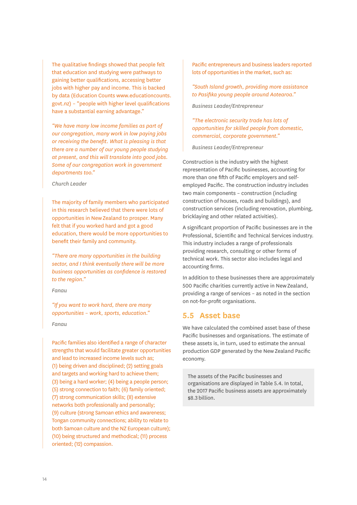The qualitative findings showed that people felt that education and studying were pathways to gaining better qualifications, accessing better jobs with higher pay and income. This is backed by data (Education Counts www.educationcounts. govt.nz) – "people with higher level qualifications have a substantial earning advantage."

*"We have many low income families as part of our congregation, many work in low paying jobs or receiving the benefit. What is pleasing is that there are a number of our young people studying at present, and this will translate into good jobs. Some of our congregation work in government departments too."*

#### *Church Leader*

The majority of family members who participated in this research believed that there were lots of opportunities in New Zealand to prosper. Many felt that if you worked hard and got a good education, there would be more opportunities to benefit their family and community.

*"There are many opportunities in the building sector, and I think eventually there will be more business opportunities as confidence is restored to the region."*

#### *Fanau*

*"If you want to work hard, there are many opportunities – work, sports, education."*

#### *Fanau*

Pacific families also identified a range of character strengths that would facilitate greater opportunities and lead to increased income levels such as; (1) being driven and disciplined; (2) setting goals and targets and working hard to achieve them; (3) being a hard worker; (4) being a people person; (5) strong connection to faith; (6) family oriented; (7) strong communication skills; (8) extensive networks both professionally and personally; (9) culture (strong Samoan ethics and awareness; Tongan community connections; ability to relate to both Samoan culture and the NZ European culture); (10) being structured and methodical; (11) process oriented; (12) compassion.

Pacific entrepreneurs and business leaders reported lots of opportunities in the market, such as:

*"South Island growth, providing more assistance to Pasifika young people around Aotearoa."*

*Business Leader/Entrepreneur*

*"The electronic security trade has lots of opportunities for skilled people from domestic, commercial, corporate government."*

*Business Leader/Entrepreneur*

Construction is the industry with the highest representation of Pacific businesses, accounting for more than one fifth of Pacific employers and selfemployed Pacific. The construction industry includes two main components – construction (including construction of houses, roads and buildings), and construction services (including renovation, plumbing, bricklaying and other related activities).

A significant proportion of Pacific businesses are in the Professional, Scientific and Technical Services industry. This industry includes a range of professionals providing research, consulting or other forms of technical work. This sector also includes legal and accounting firms.

In addition to these businesses there are approximately 500 Pacific charities currently active in New Zealand, providing a range of services – as noted in the section on not-for-profit organisations.

### **5.5 Asset base**

We have calculated the combined asset base of these Pacific businesses and organisations. The estimate of these assets is, in turn, used to estimate the annual production GDP generated by the New Zealand Pacific economy.

The assets of the Pacific businesses and organisations are displayed in Table 5.4. In total, the 2017 Pacific business assets are approximately \$8.3 billion.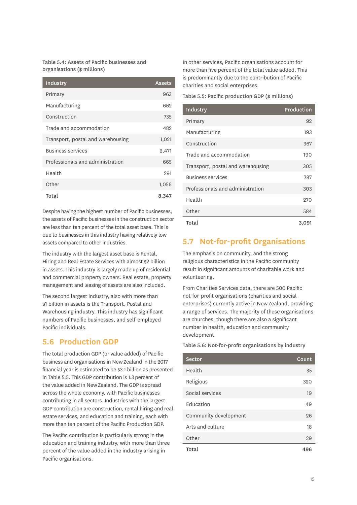<span id="page-18-0"></span>Table 5.4: Assets of Pacific businesses and organisations (\$ millions)

| Industry                          | <b>Assets</b> |
|-----------------------------------|---------------|
| Primary                           | 963           |
| Manufacturing                     | 662           |
| Construction                      | 735           |
| Trade and accommodation           | 482           |
| Transport, postal and warehousing | 1,021         |
| <b>Business services</b>          | 2,471         |
| Professionals and administration  | 665           |
| Health                            | 291           |
| Other                             | 1,056         |
| Total                             | 8.347         |

Despite having the highest number of Pacific businesses, the assets of Pacific businesses in the construction sector are less than ten percent of the total asset base. This is due to businesses in this industry having relatively low assets compared to other industries.

The industry with the largest asset base is Rental, Hiring and Real Estate Services with almost \$2 billion in assets. This industry is largely made up of residential and commercial property owners. Real estate, property management and leasing of assets are also included.

The second largest industry, also with more than \$1 billion in assets is the Transport, Postal and Warehousing industry. This industry has significant numbers of Pacific businesses, and self-employed Pacific individuals.

## **5.6 Production GDP**

The total production GDP (or value added) of Pacific business and organisations in New Zealand in the 2017 financial year is estimated to be \$3.1 billion as presented in Table 5.5. This GDP contribution is 1.3 percent of the value added in New Zealand. The GDP is spread across the whole economy, with Pacific businesses contributing in all sectors. Industries with the largest GDP contribution are construction, rental hiring and real estate services, and education and training, each with more than ten percent of the Pacific Production GDP.

The Pacific contribution is particularly strong in the education and training industry, with more than three percent of the value added in the industry arising in Pacific organisations.

In other services, Pacific organisations account for more than five percent of the total value added. This is predominantly due to the contribution of Pacific charities and social enterprises.

Table 5.5: Pacific production GDP (\$ millions)

| Industry                          | Production |
|-----------------------------------|------------|
| Primary                           | 92         |
| Manufacturing                     | 193        |
| Construction                      | 367        |
| Trade and accommodation           | 190        |
| Transport, postal and warehousing | 305        |
| <b>Business services</b>          | 787        |
| Professionals and administration  | 303        |
| Health                            | 270        |
| Other                             | 584        |
| Total                             | 3,091      |

## **5.7 Not-for-profit Organisations**

The emphasis on community, and the strong religious characteristics in the Pacific community result in significant amounts of charitable work and volunteering.

From Charities Services data, there are 500 Pacific not-for-profit organisations (charities and social enterprises) currently active in New Zealand, providing a range of services. The majority of these organisations are churches, though there are also a significant number in health, education and community development.

#### Table 5.6: Not-for-profit organisations by industry

| <b>Sector</b>         | Count |
|-----------------------|-------|
| Health                | 35    |
| Religious             | 320   |
| Social services       | 19    |
| Education             | 49    |
| Community development | 26    |
| Arts and culture      | 18    |
| Other                 | 29    |
| Total                 | 496   |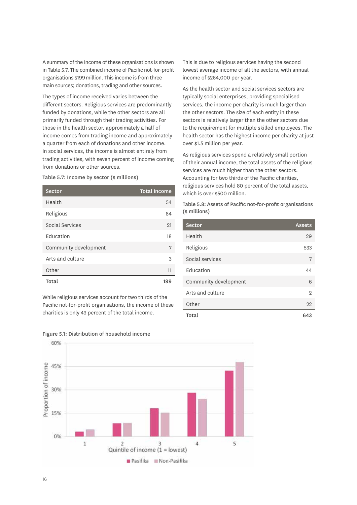<span id="page-19-0"></span>A summary of the income of these organisations is shown in [Table 5.7](#page-19-1). The combined income of Pacific not-for-profit organisations \$199 million. This income is from three main sources; donations, trading and other sources.

The types of income received varies between the different sectors. Religious services are predominantly funded by donations, while the other sectors are all primarily funded through their trading activities. For those in the health sector, approximately a half of income comes from trading income and approximately a quarter from each of donations and other income. In social services, the income is almost entirely from trading activities, with seven percent of income coming from donations or other sources.

<span id="page-19-1"></span>Table 5.7: Income by sector (\$ millions)

| <b>Sector</b>         | <b>Total income</b> |
|-----------------------|---------------------|
| Health                | 54                  |
| Religious             | 84                  |
| Social Services       | 21                  |
| Education             | 18                  |
| Community development | 7                   |
| Arts and culture      | 3                   |
| Other                 | 11                  |
| Total                 | 199                 |

While religious services account for two thirds of the Pacific not-for-profit organisations, the income of these charities is only 43 percent of the total income.

This is due to religious services having the second lowest average income of all the sectors, with annual income of \$264,000 per year.

As the health sector and social services sectors are typically social enterprises, providing specialised services, the income per charity is much larger than the other sectors. The size of each entity in these sectors is relatively larger than the other sectors due to the requirement for multiple skilled employees. The health sector has the highest income per charity at just over \$1.5 million per year.

As religious services spend a relatively small portion of their annual income, the total assets of the religious services are much higher than the other sectors. Accounting for two thirds of the Pacific charities, religious services hold 80 percent of the total assets, which is over \$500 million.

Table 5.8: Assets of Pacific not-for-profit organisations (\$ millions)

| <b>Sector</b>         | <b>Assets</b> |
|-----------------------|---------------|
| Health                | 29            |
| Religious             | 533           |
| Social services       | 7             |
| Education             | 44            |
| Community development | 6             |
| Arts and culture      | 2             |
| Other                 | 22            |
| Total                 | 643           |



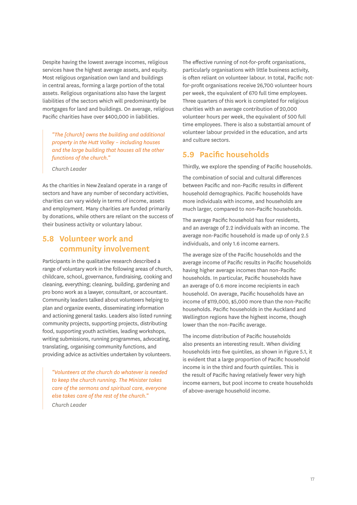Despite having the lowest average incomes, religious services have the highest average assets, and equity. Most religious organisation own land and buildings in central areas, forming a large portion of the total assets. Religious organisations also have the largest liabilities of the sectors which will predominantly be mortgages for land and buildings. On average, religious Pacific charities have over \$400,000 in liabilities.

*"The [church] owns the building and additional property in the Hutt Valley – including houses and the large building that houses all the other functions of the church."*

*Church Leader*

As the charities in New Zealand operate in a range of sectors and have any number of secondary activities, charities can vary widely in terms of income, assets and employment. Many charities are funded primarily by donations, while others are reliant on the success of their business activity or voluntary labour.

### **5.8 Volunteer work and community involvement**

Participants in the qualitative research described a range of voluntary work in the following areas of church, childcare, school, governance, fundraising, cooking and cleaning, everything; cleaning, building, gardening and pro bono work as a lawyer, consultant, or accountant. Community leaders talked about volunteers helping to plan and organize events, disseminating information and actioning general tasks. Leaders also listed running community projects, supporting projects, distributing food, supporting youth activities, leading workshops, writing submissions, running programmes, advocating, translating, organising community functions, and providing advice as activities undertaken by volunteers.

*"Volunteers at the church do whatever is needed to keep the church running. The Minister takes care of the sermons and spiritual care, everyone else takes care of the rest of the church." Church Leader*

The effective running of not-for-profit organisations, particularly organisations with little business activity, is often reliant on volunteer labour. In total, Pacific notfor-profit organisations receive 26,700 volunteer hours per week, the equivalent of 670 full time employees. Three quarters of this work is completed for religious charities with an average contribution of 20,000 volunteer hours per week, the equivalent of 500 full time employees. There is also a substantial amount of volunteer labour provided in the education, and arts and culture sectors.

### **5.9 Pacific households**

Thirdly, we explore the spending of Pacific households.

The combination of social and cultural differences between Pacific and non-Pacific results in different household demographics. Pacific households have more individuals with income, and households are much larger, compared to non-Pacific households.

The average Pacific household has four residents, and an average of 2.2 individuals with an income. The average non-Pacific household is made up of only 2.5 individuals, and only 1.6 income earners.

The average size of the Pacific households and the average income of Pacific results in Pacific households having higher average incomes than non-Pacific households. In particular, Pacific households have an average of 0.6 more income recipients in each household. On average, Pacific households have an income of \$119,000, \$5,000 more than the non-Pacific households. Pacific households in the Auckland and Wellington regions have the highest income, though lower than the non-Pacific average.

The income distribution of Pacific households also presents an interesting result. When dividing households into five quintiles, as shown in Figure 5.1, it is evident that a large proportion of Pacific household income is in the third and fourth quintiles. This is the result of Pacific having relatively fewer very high income earners, but pool income to create households of above-average household income.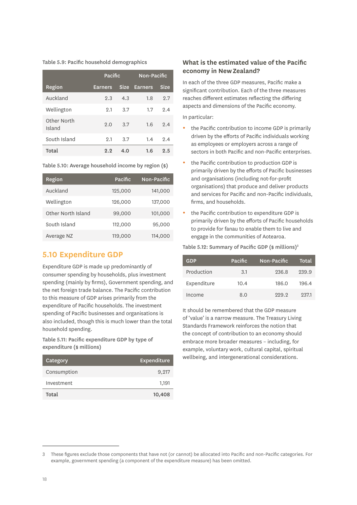<span id="page-21-0"></span>Table 5.9: Pacific household demographics

|                       | Pacific        |             | Non-Pacific    |             |
|-----------------------|----------------|-------------|----------------|-------------|
| Region                | <b>Earners</b> | <b>Size</b> | <b>Earners</b> | <b>Size</b> |
| Auckland              | 2.3            | 4.3         | 1.8            | 9.7         |
| Wellington            | 2.1            | 3.7         | 1.7            | 2.4         |
| Other North<br>Island | 2.0            | 3.7         | 1.6            | 2.4         |
| South Island          | 9.1            | 3.7         | 1.4            | 2.4         |
| Total                 | 2.2            | 4.0         | 1.6            | 2.5         |

Table 5.10: Average household income by region (\$)

| Region             | Pacific | Non-Pacific |
|--------------------|---------|-------------|
| Auckland           | 125,000 | 141,000     |
| Wellington         | 126,000 | 137,000     |
| Other North Island | 99,000  | 101.000     |
| South Island       | 112,000 | 95,000      |
| Average NZ         | 119,000 | 114,000     |

### **5.10 Expenditure GDP**

Expenditure GDP is made up predominantly of consumer spending by households, plus investment spending (mainly by firms), Government spending, and the net foreign trade balance. The Pacific contribution to this measure of GDP arises primarily from the expenditure of Pacific households. The investment spending of Pacific businesses and organisations is also included, though this is much lower than the total household spending.

Table 5.11: Pacific expenditure GDP by type of expenditure (\$ millions)

| Category    | Expenditure |
|-------------|-------------|
| Consumption | 9,217       |
| Investment  | 1.191       |
| Total       | 10,408      |

#### **What is the estimated value of the Pacific economy in New Zealand?**

In each of the three GDP measures, Pacific make a significant contribution. Each of the three measures reaches different estimates reflecting the differing aspects and dimensions of the Pacific economy.

In particular:

- the Pacific contribution to income GDP is primarily driven by the efforts of Pacific individuals working as employees or employers across a range of sectors in both Pacific and non-Pacific enterprises.
- the Pacific contribution to production GDP is primarily driven by the efforts of Pacific businesses and organisations (including not-for-profit organisations) that produce and deliver products and services for Pacific and non-Pacific individuals, firms, and households.
- the Pacific contribution to expenditure GDP is primarily driven by the efforts of Pacific households to provide for fanau to enable them to live and engage in the communities of Aotearoa.

#### Table 5.12: Summary of Pacific GDP (\$ millions)<sup>3</sup>

| <b>GDP</b>  | Pacific | Non-Pacific | Total |
|-------------|---------|-------------|-------|
| Production  | 3.1     | 236.8       | 239.9 |
| Expenditure | 10.4    | 186.0       | 196.4 |
| Income      | 8.0     | 999.9       | 937.1 |

It should be remembered that the GDP measure of 'value' is a narrow measure. The Treasury Living Standards Framework reinforces the notion that the concept of contribution to an economy should embrace more broader measures – including, for example, voluntary work, cultural capital, spiritual wellbeing, and intergenerational considerations.

<sup>3</sup> These figures exclude those components that have not (or cannot) be allocated into Pacific and non-Pacific categories. For example, government spending (a component of the expenditure measure) has been omitted.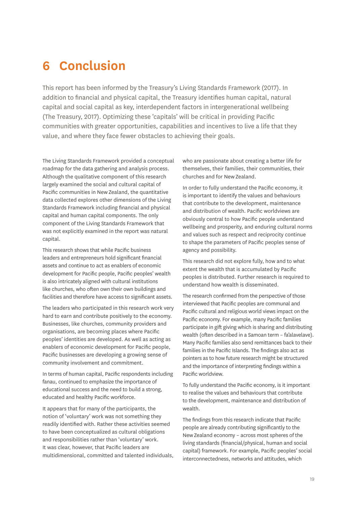# <span id="page-22-0"></span>**6 Conclusion**

This report has been informed by the Treasury's Living Standards Framework (2017). In addition to financial and physical capital, the Treasury identifies human capital, natural capital and social capital as key, interdependent factors in intergenerational wellbeing (The Treasury, 2017). Optimizing these 'capitals' will be critical in providing Pacific communities with greater opportunities, capabilities and incentives to live a life that they value, and where they face fewer obstacles to achieving their goals.

The Living Standards Framework provided a conceptual roadmap for the data gathering and analysis process. Although the qualitative component of this research largely examined the social and cultural capital of Pacific communities in New Zealand, the quantitative data collected explores other dimensions of the Living Standards Framework including financial and physical capital and human capital components. The only component of the Living Standards Framework that was not explicitly examined in the report was natural capital.

This research shows that while Pacific business leaders and entrepreneurs hold significant financial assets and continue to act as enablers of economic development for Pacific people, Pacific peoples' wealth is also intricately aligned with cultural institutions like churches, who often own their own buildings and facilities and therefore have access to significant assets.

The leaders who participated in this research work very hard to earn and contribute positively to the economy. Businesses, like churches, community providers and organisations, are becoming places where Pacific peoples' identities are developed. As well as acting as enablers of economic development for Pacific people, Pacific businesses are developing a growing sense of community involvement and commitment.

In terms of human capital, Pacific respondents including fanau, continued to emphasize the importance of educational success and the need to build a strong, educated and healthy Pacific workforce.

It appears that for many of the participants, the notion of 'voluntary' work was not something they readily identified with. Rather these activities seemed to have been conceptualized as cultural obligations and responsibilities rather than 'voluntary' work. It was clear, however, that Pacific leaders are multidimensional, committed and talented individuals, who are passionate about creating a better life for themselves, their families, their communities, their churches and for New Zealand.

In order to fully understand the Pacific economy, it is important to identify the values and behaviours that contribute to the development, maintenance and distribution of wealth. Pacific worldviews are obviously central to how Pacific people understand wellbeing and prosperity, and enduring cultural norms and values such as respect and reciprocity continue to shape the parameters of Pacific peoples sense of agency and possibility.

This research did not explore fully, how and to what extent the wealth that is accumulated by Pacific peoples is distributed. Further research is required to understand how wealth is disseminated.

The research confirmed from the perspective of those interviewed that Pacific peoples are communal and Pacific cultural and religious world views impact on the Pacific economy. For example, many Pacific families participate in gift giving which is sharing and distributing wealth (often described in a Samoan term – fa'alavelave). Many Pacific families also send remittances back to their families in the Pacific Islands. The findings also act as pointers as to how future research might be structured and the importance of interpreting findings within a Pacific worldview.

To fully understand the Pacific economy, is it important to realise the values and behaviours that contribute to the development, maintenance and distribution of wealth.

The findings from this research indicate that Pacific people are already contributing significantly to the New Zealand economy – across most spheres of the living standards (financial/physical, human and social capital) framework. For example, Pacific peoples' social interconnectedness, networks and attitudes, which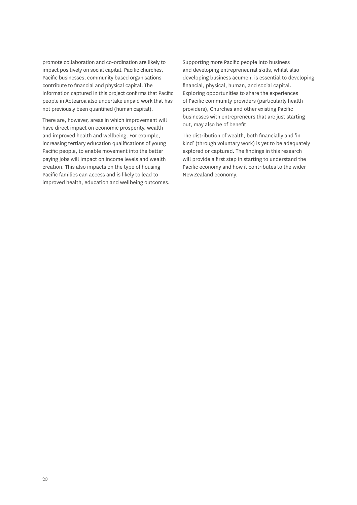promote collaboration and co-ordination are likely to impact positively on social capital. Pacific churches, Pacific businesses, community based organisations contribute to financial and physical capital. The information captured in this project confirms that Pacific people in Aotearoa also undertake unpaid work that has not previously been quantified (human capital).

There are, however, areas in which improvement will have direct impact on economic prosperity, wealth and improved health and wellbeing. For example, increasing tertiary education qualifications of young Pacific people, to enable movement into the better paying jobs will impact on income levels and wealth creation. This also impacts on the type of housing Pacific families can access and is likely to lead to improved health, education and wellbeing outcomes. Supporting more Pacific people into business and developing entrepreneurial skills, whilst also developing business acumen, is essential to developing financial, physical, human, and social capital. Exploring opportunities to share the experiences of Pacific community providers (particularly health providers), Churches and other existing Pacific businesses with entrepreneurs that are just starting out, may also be of benefit.

The distribution of wealth, both financially and 'in kind' (through voluntary work) is yet to be adequately explored or captured. The findings in this research will provide a first step in starting to understand the Pacific economy and how it contributes to the wider New Zealand economy.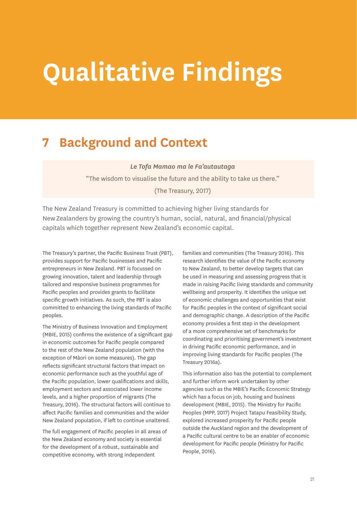# <span id="page-24-0"></span>**Qualitative Findings**

# **7 Background and Context**

*Le Tofa Mamao ma le Fa'autautaga*

"The wisdom to visualise the future and the ability to take us there." (The Treasury, 2017)

The New Zealand Treasury is committed to achieving higher living standards for New Zealanders by growing the country's human, social, natural, and financial/physical capitals which together represent New Zealand's economic capital.

The Treasury's partner, the Pacific Business Trust (PBT), provides support for Pacific businesses and Pacific entrepreneurs in New Zealand. PBT is focussed on growing innovation, talent and leadership through tailored and responsive business programmes for Pacific peoples and provides grants to facilitate specific growth initiatives. As such, the PBT is also committed to enhancing the living standards of Pacific peoples.

The Ministry of Business Innovation and Employment (MBIE, 2015) confirms the existence of a significant gap in economic outcomes for Pacific people compared to the rest of the New Zealand population (with the exception of Māori on some measures). The gap reflects significant structural factors that impact on economic performance such as the youthful age of the Pacific population, lower qualifications and skills, employment sectors and associated lower income levels, and a higher proportion of migrants (The Treasury, 2016). The structural factors will continue to affect Pacific families and communities and the wider New Zealand population, if left to continue unaltered.

The full engagement of Pacific peoples in all areas of the New Zealand economy and society is essential for the development of a robust, sustainable and competitive economy, with strong independent

families and communities (The Treasury 2016). This research identifies the value of the Pacific economy to New Zealand, to better develop targets that can be used in measuring and assessing progress that is made in raising Pacific living standards and community wellbeing and prosperity. It identifies the unique set of economic challenges and opportunities that exist for Pacific peoples in the context of significant social and demographic change. A description of the Pacific economy provides a first step in the development of a more comprehensive set of benchmarks for coordinating and prioritising government's investment in driving Pacific economic performance, and in improving living standards for Pacific peoples (The Treasury 2016a).

This information also has the potential to complement and further inform work undertaken by other agencies such as the MBIE's Pacific Economic Strategy which has a focus on job, housing and business development (MBIE, 2015). The Ministry for Pacific Peoples (MPP, 2017) Project Tatapu Feasibility Study, explored increased prosperity for Pacific people outside the Auckland region and the development of a Pacific cultural centre to be an enabler of economic development for Pacific people (Ministry for Pacific People, 2016).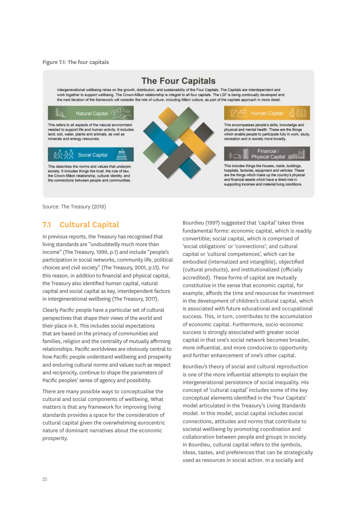#### <span id="page-25-0"></span>Figure 7.1: The four capitals



Source: The Treasury (2018)

### **7.1 Cultural Capital**

In previous reports, the Treasury has recognised that living standards are "undoubtedly much more than income" (The Treasury, 1999, p.1) and include "people's participation in social networks, community life, political choices and civil society" (The Treasury, 2001, p.13). For this reason, in addition to financial and physical capital, the Treasury also identified human capital, natural capital and social capital as key, interdependent factors in intergenerational wellbeing (The Treasury, 2017).

Clearly Pacific people have a particular set of cultural perspectives that shape their views of the world and their place in it. This includes social expectations that are based on the primacy of communities and families, religion and the centrality of mutually affirming relationships. Pacific worldviews are obviously central to how Pacific people understand wellbeing and prosperity and enduring cultural norms and values such as respect and reciprocity, continue to shape the parameters of Pacific peoples' sense of agency and possibility.

There are many possible ways to conceptualise the cultural and social components of wellbeing. What matters is that any framework for improving living standards provides a space for the consideration of cultural capital given the overwhelming eurocentric nature of dominant narratives about the economic prosperity.

Bourdieu (1997) suggested that 'capital' takes three fundamental forms: economic capital, which is readily convertible; social capital, which is comprised of 'social obligations' or 'connections'; and cultural capital or 'cultural competences', which can be embodied (internalized and intangible), objectified (cultural products), and institutionalized (officially accredited). These forms of capital are mutually constitutive in the sense that economic capital, for example, affords the time and resources for investment in the development of children's cultural capital, which is associated with future educational and occupational success. This, in turn, contributes to the accumulation of economic capital. Furthermore, socio-economic success is strongly associated with greater social capital in that one's social network becomes broader, more influential, and more conducive to opportunity and further enhancement of one's other capital.

Bourdieu's theory of social and cultural reproduction is one of the more influential attempts to explain the intergenerational persistence of social inequality. His concept of 'cultural capital' includes some of the key conceptual elements identified in the 'Four Capitals' model articulated in the Treasury's Living Standards model. In this model, social capital includes social connections, attitudes and norms that contribute to societal wellbeing by promoting coordination and collaboration between people and groups in society. In Bourdieu, cultural capital refers to the symbols, ideas, tastes, and preferences that can be strategically used as resources in social action. In a socially and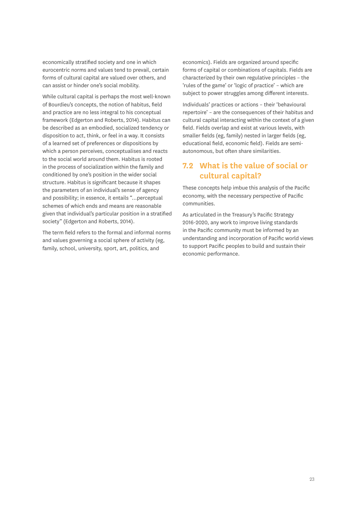economically stratified society and one in which eurocentric norms and values tend to prevail, certain forms of cultural capital are valued over others, and can assist or hinder one's social mobility.

While cultural capital is perhaps the most well-known of Bourdieu's concepts, the notion of habitus, field and practice are no less integral to his conceptual framework (Edgerton and Roberts, 2014). Habitus can be described as an embodied, socialized tendency or disposition to act, think, or feel in a way. It consists of a learned set of preferences or dispositions by which a person perceives, conceptualises and reacts to the social world around them. Habitus is rooted in the process of socialization within the family and conditioned by one's position in the wider social structure. Habitus is significant because it shapes the parameters of an individual's sense of agency and possibility; in essence, it entails "…perceptual schemes of which ends and means are reasonable given that individual's particular position in a stratified society" (Edgerton and Roberts, 2014).

The term field refers to the formal and informal norms and values governing a social sphere of activity (eg, family, school, university, sport, art, politics, and

economics). Fields are organized around specific forms of capital or combinations of capitals. Fields are characterized by their own regulative principles – the 'rules of the game' or 'logic of practice' – which are subject to power struggles among different interests.

Individuals' practices or actions – their 'behavioural repertoire' – are the consequences of their habitus and cultural capital interacting within the context of a given field. Fields overlap and exist at various levels, with smaller fields (eg, family) nested in larger fields (eg, educational field, economic field). Fields are semiautonomous, but often share similarities.

## **7.2 What is the value of social or cultural capital?**

These concepts help imbue this analysis of the Pacific economy, with the necessary perspective of Pacific communities.

As articulated in the Treasury's Pacific Strategy 2016-2020, any work to improve living standards in the Pacific community must be informed by an understanding and incorporation of Pacific world views to support Pacific peoples to build and sustain their economic performance.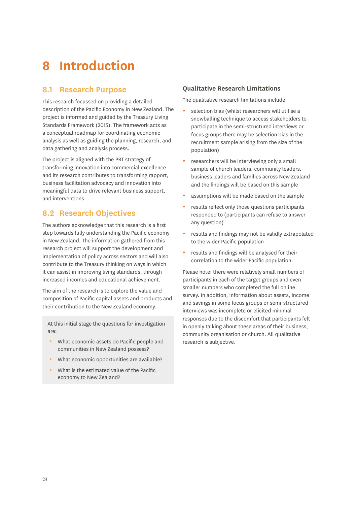# <span id="page-27-0"></span>**8 Introduction**

### **8.1 Research Purpose**

This research focussed on providing a detailed description of the Pacific Economy in New Zealand. The project is informed and guided by the Treasury Living Standards Framework (2015). The framework acts as a conceptual roadmap for coordinating economic analysis as well as guiding the planning, research, and data gathering and analysis process.

The project is aligned with the PBT strategy of transforming innovation into commercial excellence and its research contributes to transforming rapport, business facilitation advocacy and innovation into meaningful data to drive relevant business support, and interventions.

# **8.2 Research Objectives**

The authors acknowledge that this research is a first step towards fully understanding the Pacific economy in New Zealand. The information gathered from this research project will support the development and implementation of policy across sectors and will also contribute to the Treasury thinking on ways in which it can assist in improving living standards, through increased incomes and educational achievement.

The aim of the research is to explore the value and composition of Pacific capital assets and products and their contribution to the New Zealand economy.

At this initial stage the questions for investigation are:

- What economic assets do Pacific people and communities in New Zealand possess?
- What economic opportunities are available?
- y What is the estimated value of the Pacific economy to New Zealand?

#### **Qualitative Research Limitations**

The qualitative research limitations include:

- selection bias (whilst researchers will utilise a snowballing technique to access stakeholders to participate in the semi-structured interviews or focus groups there may be selection bias in the recruitment sample arising from the size of the population)
- researchers will be interviewing only a small sample of church leaders, community leaders, business leaders and families across New Zealand and the findings will be based on this sample
- assumptions will be made based on the sample
- results reflect only those questions participants responded to (participants can refuse to answer any question)
- results and findings may not be validly extrapolated to the wider Pacific population
- results and findings will be analysed for their correlation to the wider Pacific population.

Please note: there were relatively small numbers of participants in each of the target groups and even smaller numbers who completed the full online survey. In addition, information about assets, income and savings in some focus groups or semi-structured interviews was incomplete or elicited minimal responses due to the discomfort that participants felt in openly talking about these areas of their business, community organisation or church. All qualitative research is subjective.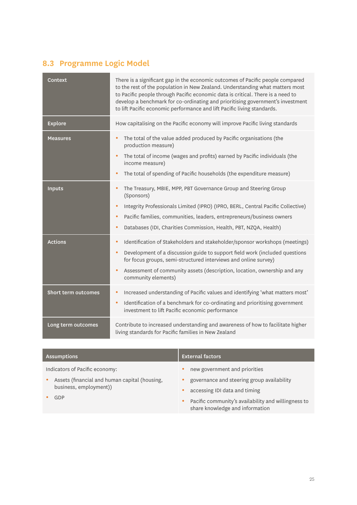# **8.3 Programme Logic Model**

| <b>Context</b>             | There is a significant gap in the economic outcomes of Pacific people compared<br>to the rest of the population in New Zealand. Understanding what matters most<br>to Pacific people through Pacific economic data is critical. There is a need to<br>develop a benchmark for co-ordinating and prioritising government's investment<br>to lift Pacific economic performance and lift Pacific living standards. |
|----------------------------|-----------------------------------------------------------------------------------------------------------------------------------------------------------------------------------------------------------------------------------------------------------------------------------------------------------------------------------------------------------------------------------------------------------------|
| <b>Explore</b>             | How capitalising on the Pacific economy will improve Pacific living standards                                                                                                                                                                                                                                                                                                                                   |
| <b>Measures</b>            | The total of the value added produced by Pacific organisations (the<br>$\bullet$<br>production measure)<br>The total of income (wages and profits) earned by Pacific individuals (the<br>$\bullet$<br>income measure)<br>The total of spending of Pacific households (the expenditure measure)<br>$\bullet$                                                                                                     |
| <b>Inputs</b>              | The Treasury, MBIE, MPP, PBT Governance Group and Steering Group<br>$\bullet$<br>(Sponsors)<br>Integrity Professionals Limited (IPRO) (IPRO, BERL, Central Pacific Collective)<br>$\bullet$<br>Pacific families, communities, leaders, entrepreneurs/business owners<br>$\bullet$<br>Databases (IDI, Charities Commission, Health, PBT, NZQA, Health)<br>$\bullet$                                              |
| <b>Actions</b>             | Identification of Stakeholders and stakeholder/sponsor workshops (meetings)<br>$\bullet$<br>Development of a discussion guide to support field work (included questions<br>$\bullet$<br>for focus groups, semi-structured interviews and online survey)<br>Assessment of community assets (description, location, ownership and any<br>$\bullet$<br>community elements)                                         |
| <b>Short term outcomes</b> | Increased understanding of Pacific values and identifying 'what matters most'<br>٠<br>Identification of a benchmark for co-ordinating and prioritising government<br>$\bullet$<br>investment to lift Pacific economic performance                                                                                                                                                                               |
| Long term outcomes         | Contribute to increased understanding and awareness of how to facilitate higher<br>living standards for Pacific families in New Zealand                                                                                                                                                                                                                                                                         |

| <b>Assumptions</b>                                                                                                            | <b>External factors</b>                                                                                                                                                                                               |
|-------------------------------------------------------------------------------------------------------------------------------|-----------------------------------------------------------------------------------------------------------------------------------------------------------------------------------------------------------------------|
| Indicators of Pacific economy:<br>Assets (financial and human capital (housing,<br>$\bullet$<br>business, employment))<br>GDP | new government and priorities<br>٠<br>governance and steering group availability<br>accessing IDI data and timing<br>٠<br>Pacific community's availability and willingness to<br>۰<br>share knowledge and information |
|                                                                                                                               |                                                                                                                                                                                                                       |

25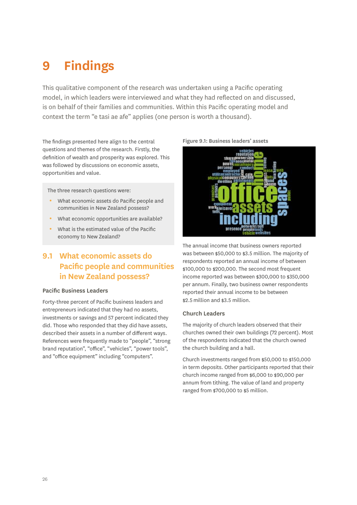# <span id="page-29-0"></span>**9 Findings**

This qualitative component of the research was undertaken using a Pacific operating model, in which leaders were interviewed and what they had reflected on and discussed, is on behalf of their families and communities. Within this Pacific operating model and context the term "e tasi ae afe" applies (one person is worth a thousand).

The findings presented here align to the central questions and themes of the research. Firstly, the definition of wealth and prosperity was explored. This was followed by discussions on economic assets, opportunities and value.

The three research questions were:

- What economic assets do Pacific people and communities in New Zealand possess?
- What economic opportunities are available?
- What is the estimated value of the Pacific economy to New Zealand?

## **9.1 What economic assets do Pacific people and communities in New Zealand possess?**

#### Pacific Business Leaders

Forty-three percent of Pacific business leaders and entrepreneurs indicated that they had no assets, investments or savings and 57 percent indicated they did. Those who responded that they did have assets, described their assets in a number of different ways. References were frequently made to "people", "strong brand reputation", "office", "vehicles", "power tools", and "office equipment" including "computers".

#### Figure 9.1: Business leaders' assets



The annual income that business owners reported was between \$50,000 to \$3.5 million. The majority of respondents reported an annual income of between \$100,000 to \$200,000. The second most frequent income reported was between \$300,000 to \$350,000 per annum. Finally, two business owner respondents reported their annual income to be between \$2.5 million and \$3.5 million.

#### Church Leaders

The majority of church leaders observed that their churches owned their own buildings (72 percent). Most of the respondents indicated that the church owned the church building and a hall.

Church investments ranged from \$50,000 to \$150,000 in term deposits. Other participants reported that their church income ranged from \$6,000 to \$90,000 per annum from tithing. The value of land and property ranged from \$700,000 to \$5 million.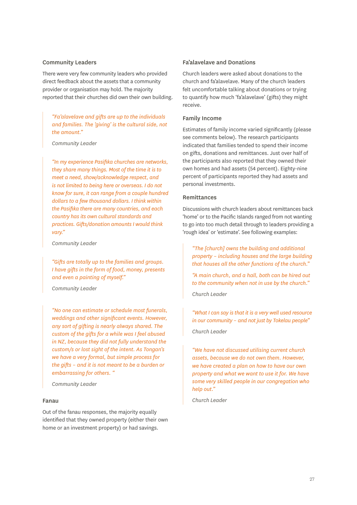#### Community Leaders

There were very few community leaders who provided direct feedback about the assets that a community provider or organisation may hold. The majority reported that their churches did own their own building.

*"Fa'alavelave and gifts are up to the individuals and families. The 'giving' is the cultural side, not the amount."*

*Community Leader*

*"In my experience Pasifika churches are networks, they share many things. Most of the time it is to meet a need, show/acknowledge respect, and is not limited to being here or overseas. I do not know for sure, it can range from a couple hundred dollars to a few thousand dollars. I think within the Pasifika there are many countries, and each country has its own cultural standards and practices. Gifts/donation amounts I would think vary."*

*Community Leader*

*"Gifts are totally up to the families and groups. I have gifts in the form of food, money, presents and even a painting of myself."*

*Community Leader*

*"No one can estimate or schedule most funerals, weddings and other significant events. However, any sort of gifting is nearly always shared. The custom of the gifts for a while was I feel abused in NZ, because they did not fully understand the custom/s or lost sight of the intent. As Tongan's we have a very formal, but simple process for the gifts – and it is not meant to be a burden or embarrassing for others. "* 

*Community Leader*

#### Fanau

Out of the fanau responses, the majority equally identified that they owned property (either their own home or an investment property) or had savings.

#### Fa'alavelave and Donations

Church leaders were asked about donations to the church and fa'alavelave. Many of the church leaders felt uncomfortable talking about donations or trying to quantify how much 'fa'alavelave' (gifts) they might receive.

#### Family Income

Estimates of family income varied significantly (please see comments below). The research participants indicated that families tended to spend their income on gifts, donations and remittances. Just over half of the participants also reported that they owned their own homes and had assets (54 percent). Eighty-nine percent of participants reported they had assets and personal investments.

#### Remittances

Discussions with church leaders about remittances back 'home' or to the Pacific Islands ranged from not wanting to go into too much detail through to leaders providing a 'rough idea' or 'estimate'. See following examples:

*"The [church] owns the building and additional property – including houses and the large building that houses all the other functions of the church."*

*"A main church, and a hall, both can be hired out to the community when not in use by the church." Church Leader*

*"What I can say is that it is a very well used resource in our community – and not just by Tokelau people" Church Leader*

*"We have not discussed utilising current church assets, because we do not own them. However, we have created a plan on how to have our own property and what we want to use it for. We have some very skilled people in our congregation who help out."*

*Church Leader*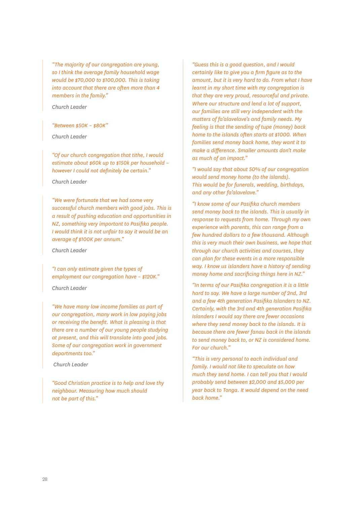<span id="page-31-0"></span>*"The majority of our congregation are young, so I think the average family household wage would be \$70,000 to \$100,000. This is taking into account that there are often more than 4 members in the family."*

*Church Leader*

#### *"Between \$50K – \$80K"*

*Church Leader*

*"Of our church congregation that tithe, I would estimate about \$60k up to \$150k per household – however I could not definitely be certain."*

*Church Leader*

*"We were fortunate that we had some very successful church members with good jobs. This is a result of pushing education and opportunities in NZ, something very important to Pasifika people. I would think it is not unfair to say it would be an average of \$100K per annum."*

*Church Leader*

*"I can only estimate given the types of employment our congregation have – \$120K."*

*Church Leader*

*"We have many low income families as part of our congregation, many work in low paying jobs or receiving the benefit. What is pleasing is that there are a number of our young people studying at present, and this will translate into good jobs. Some of our congregation work in government departments too."*

 *Church Leader*

*"Good Christian practice is to help and love thy neighbour. Measuring how much should not be part of this."*

*"Guess this is a good question, and I would certainly like to give you a firm figure as to the amount, but it is very hard to do. From what I have learnt in my short time with my congregation is that they are very proud, resourceful and private. Where our structure and lend a lot of support, our families are still very independent with the matters of fa'alavelave's and family needs. My feeling is that the sending of tupe (money) back home to the islands often starts at \$1000. When families send money back home, they want it to make a difference. Smaller amounts don't make as much of an impact."*

*"I would say that about 50% of our congregation would send money home (to the islands). This would be for funerals, wedding, birthdays, and any other fa'alavelave."*

*"I know some of our Pasifika church members send money back to the islands. This is usually in response to requests from home. Through my own experience with parents, this can range from a few hundred dollars to a few thousand. Although this is very much their own business, we hope that through our church activities and courses, they can plan for these events in a more responsible way. I know us islanders have a history of sending money home and sacrificing things here in NZ."*

*"In terms of our Pasifika congregation it is a little hard to say. We have a large number of 2nd, 3rd and a few 4th generation Pasifika Islanders to NZ. Certainly, with the 3rd and 4th generation Pasifika Islanders I would say there are fewer occasions where they send money back to the islands. It is because there are fewer fanau back in the islands to send money back to, or NZ is considered home. For our church."*

*"This is very personal to each individual and family. I would not like to speculate on how much they send home. I can tell you that I would probably send between \$2,000 and \$5,000 per year back to Tonga. It would depend on the need back home."*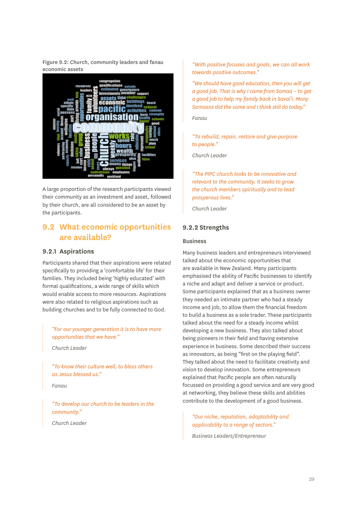Figure 9.2: Church, community leaders and fanau economic assets



A large proportion of the research participants viewed their community as an investment and asset, followed by their church, are all considered to be an asset by the participants.

### **9.2 What economic opportunities are available?**

#### **9.2.1 Aspirations**

Participants shared that their aspirations were related specifically to providing a 'comfortable life' for their families. They included being 'highly educated' with formal qualifications, a wide range of skills which would enable access to more resources. Aspirations were also related to religious aspirations such as building churches and to be fully connected to God.

*"For our younger generation it is to have more opportunities that we have."*

*Church Leader*

*"To know their culture well, to bless others as Jesus blessed us."*

*Fanau*

*"To develop our church to be leaders in the community."*

*Church Leader*

*"With positive focuses and goals, we can all work towards positive outcomes."*

*"We should have good education, then you will get a good job. That is why I came from Samoa – to get a good job to help my family back in Savai'i. Many Samoans did the same and I think still do today."*

*Fanau*

*"To rebuild, repair, restore and give purpose to people."*

*Church Leader*

*"The PIPC church looks to be innovative and relevant to the community. It seeks to grow the church members spiritually and to lead prosperous lives."*

*Church Leader*

#### **9.2.2 Strengths**

#### Business

Many business leaders and entrepreneurs interviewed talked about the economic opportunities that are available in New Zealand. Many participants emphasised the ability of Pacific businesses to identify a niche and adapt and deliver a service or product. Some participants explained that as a business owner they needed an intimate partner who had a steady income and job, to allow them the financial freedom to build a business as a sole trader. These participants talked about the need for a steady income whilst developing a new business. They also talked about being pioneers in their field and having extensive experience in business. Some described their success as innovators, as being "first on the playing field". They talked about the need to facilitate creativity and vision to develop innovation. Some entrepreneurs explained that Pacific people are often naturally focussed on providing a good service and are very good at networking, they believe these skills and abilities contribute to the development of a good business.

*"Our niche, reputation, adaptability and applicability to a range of sectors."*

*Business Leaders/Entrepreneur*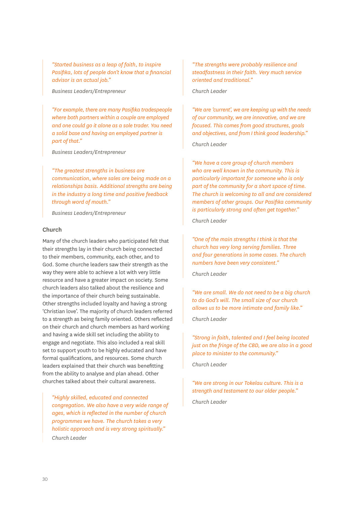*"Started business as a leap of faith, to inspire Pasifika, lots of people don't know that a financial advisor is an actual job."*

*Business Leaders/Entrepreneur*

*"For example, there are many Pasifika tradespeople where both partners within a couple are employed and one could go it alone as a sole trader. You need a solid base and having an employed partner is part of that."*

*Business Leaders/Entrepreneur*

*"The greatest strengths in business are communication, where sales are being made on a relationships basis. Additional strengths are being in the industry a long time and positive feedback through word of mouth."*

*Business Leaders/Entrepreneur*

#### Church

Many of the church leaders who participated felt that their strengths lay in their church being connected to their members, community, each other, and to God. Some churche leaders saw their strength as the way they were able to achieve a lot with very little resource and have a greater impact on society. Some church leaders also talked about the resilience and the importance of their church being sustainable. Other strengths included loyalty and having a strong 'Christian love'. The majority of church leaders referred to a strength as being family oriented. Others reflected on their church and church members as hard working and having a wide skill set including the ability to engage and negotiate. This also included a real skill set to support youth to be highly educated and have formal qualifications, and resources. Some church leaders explained that their church was benefitting from the ability to analyse and plan ahead. Other churches talked about their cultural awareness.

*"Highly skilled, educated and connected congregation. We also have a very wide range of ages, which is reflected in the number of church programmes we have. The church takes a very holistic approach and is very strong spiritually." Church Leader*

*"The strengths were probably resilience and steadfastness in their faith. Very much service oriented and traditional."*

*Church Leader*

*"We are 'current', we are keeping up with the needs of our community, we are innovative, and we are focused. This comes from good structures, goals and objectives, and from I think good leadership."*

*Church Leader*

*"We have a core group of church members who are well known in the community. This is particularly important for someone who is only part of the community for a short space of time. The church is welcoming to all and are considered members of other groups. Our Pasifika community is particularly strong and often get together."*

*Church Leader*

*"One of the main strengths I think is that the church has very long serving families. Three and four generations in some cases. The church numbers have been very consistent."*

*Church Leader*

*"We are small. We do not need to be a big church to do God's will. The small size of our church allows us to be more intimate and family like."*

*Church Leader*

*"Strong in faith, talented and I feel being located just on the fringe of the CBD, we are also in a good place to minister to the community."*

*Church Leader*

*"We are strong in our Tokelau culture. This is a strength and testament to our older people."*

*Church Leader*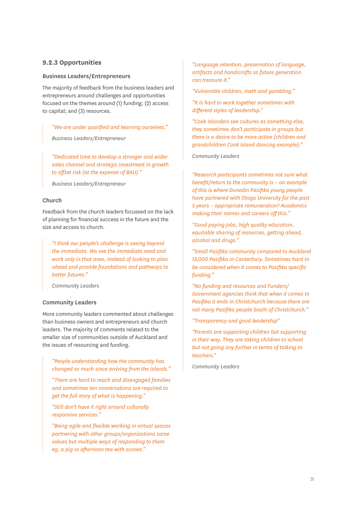#### **9.2.3 Opportunities**

#### Business Leaders/Entrepreneurs

The majority of feedback from the business leaders and entrepreneurs around challenges and opportunities focused on the themes around (1) funding; (2) access to capital; and (3) resources.

*"We are under qualified and learning ourselves."* 

*Business Leaders/Entrepreneur*

*"Dedicated time to develop a stronger and wider sales channel and strategic investment in growth to offset risk (at the expense of BAU)."*

*Business Leaders/Entrepreneur*

#### Church

Feedback from the church leaders focussed on the lack of planning for financial success in the future and the size and access to church.

*"I think our people's challenge is seeing beyond the immediate. We see the immediate need and work only in that area, instead of looking to plan ahead and provide foundations and pathways to better futures."*

*Community Leaders*

#### Community Leaders

More community leaders commented about challenges than business owners and entrepreneurs and church leaders. The majority of comments related to the smaller size of communities outside of Auckland and the issues of resourcing and funding.

*"People understanding how the community has changed so much since arriving from the islands."*

*"There are hard to reach and disengaged families and sometimes ten conversations are required to get the full story of what is happening."*

*"Still don't have it right around culturally responsive services."*

*"Being agile and flexible working in virtual spaces partnering with other groups/organisations same values but multiple ways of responding to them eg, a pig vs afternoon tea with scones."*

*"Language retention, preservation of language, artifacts and handicrafts so future generation can treasure it."* 

*"Vulnerable children, meth and gambling."*

*"It is hard to work together sometimes with different styles of leadership."*

*"Cook Islanders see cultures as something else, they sometimes don't participate in groups but there is a desire to be more active (children and grandchildren Cook Island dancing example)."*

*Community Leaders*

*"Research participants sometimes not sure what benefit/return to the community is – an example of this is where Dunedin Pasifika young people have partnered with Otago University for the past 5 years – appropriate remuneration? Academics making their names and careers off this."*

*"Good paying jobs, high quality education, equitable sharing of resources, getting ahead, alcohol and drugs."*

*"Small Pasifika community compared to Auckland 13,000 Pasifika in Canterbury. Sometimes hard to be considered when it comes to Pasifika specific funding."*

*"No funding and resources and Funders/ Government agencies think that when it comes to Pasifika it ends in Christchurch because there are not many Pasifika people South of Christchurch."*

*"Transparency and good leadership"*

*"Parents are supporting children but supporting in their way. They are taking children to school but not going any further in terms of talking to teachers."* 

*Community Leaders*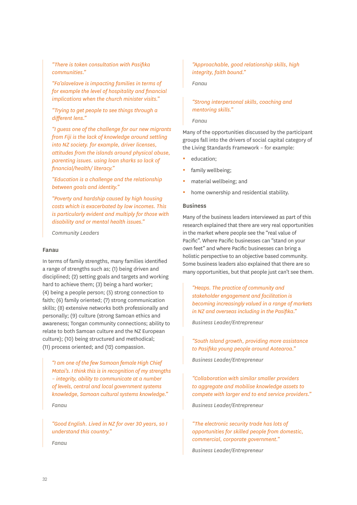*"There is token consultation with Pasifika communities."*

*"Fa'alavelave is impacting families in terms of for example the level of hospitality and financial implications when the church minister visits."*

*"Trying to get people to see things through a different lens."*

*"I guess one of the challenge for our new migrants from Fiji is the lack of knowledge around settling into NZ society. for example, driver licenses, attitudes from the islands around physical abuse, parenting issues. using loan sharks so lack of financial/health/ literacy."*

*"Education is a challenge and the relationship between goals and identity."*

*"Poverty and hardship caused by high housing costs which is exacerbated by low incomes. This is particularly evident and multiply for those with disability and or mental health issues."*

*Community Leaders*

#### Fanau

In terms of family strengths, many families identified a range of strengths such as; (1) being driven and disciplined; (2) setting goals and targets and working hard to achieve them; (3) being a hard worker; (4) being a people person; (5) strong connection to faith; (6) family oriented; (7) strong communication skills; (8) extensive networks both professionally and personally; (9) culture (strong Samoan ethics and awareness; Tongan community connections; ability to relate to both Samoan culture and the NZ European culture); (10) being structured and methodical; (11) process oriented; and (12) compassion.

*"I am one of the few Samoan female High Chief Matai's. I think this is in recognition of my strengths – integrity, ability to communicate at a number of levels, central and local government systems knowledge, Samoan cultural systems knowledge." Fanau*

*"Good English. Lived in NZ for over 30 years, so I understand this country."*

*"Approachable, good relationship skills, high integrity, faith bound."*

*Fanau*

#### *"Strong interpersonal skills, coaching and mentoring skills."*

*Fanau*

Many of the opportunities discussed by the participant groups fall into the drivers of social capital category of the Living Standards Framework – for example:

- education;
- family wellbeing;
- material wellbeing; and
- home ownership and residential stability.

#### Business

Many of the business leaders interviewed as part of this research explained that there are very real opportunities in the market where people see the "real value of Pacific". Where Pacific businesses can "stand on your own feet" and where Pacific businesses can bring a holistic perspective to an objective based community. Some business leaders also explained that there are so many opportunities, but that people just can't see them.

*"Heaps. The practice of community and stakeholder engagement and facilitation is becoming increasingly valued in a range of markets in NZ and overseas including in the Pasifika."*

*Business Leader/Entrepreneur*

*"South Island growth, providing more assistance to Pasifika young people around Aotearoa."*

*Business Leader/Entrepreneur*

*"Collaboration with similar smaller providers to aggregate and mobilise knowledge assets to compete with larger end to end service providers."*

*Business Leader/Entrepreneur*

*"The electronic security trade has lots of opportunities for skilled people from domestic, commercial, corporate government."*

*Business Leader/Entrepreneur*

*Fanau*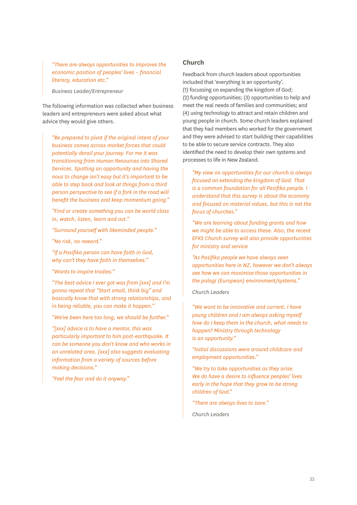*"There are always opportunities to improves the economic position of peoples' lives – financial literacy, education etc."*

*Business Leader/Entrepreneur*

The following information was collected when business leaders and entrepreneurs were asked about what advice they would give others.

*"Be prepared to pivot if the original intent of your business comes across market forces that could potentially derail your journey. For me it was transitioning from Human Resources into Shared Services. Spotting an opportunity and having the nous to change isn't easy but it's important to be able to step back and look at things from a third person perspective to see if a fork in the road will benefit the business and keep momentum going."* 

*"Find or create something you can be world class in, watch, listen, learn and act."*

*"Surround yourself with likeminded people."*

*"No risk, no reward."*

*"If a Pasifika person can have faith in God, why can't they have faith in themselves."*

*"Wants to inspire tradies."*

*"The best advice I ever got was from [xxx] and I'm gonna repeat that "Start small, think big" and basically know that with strong relationships, and in being reliable, you can make it happen."*

*"We've been here too long, we should be further."*

*"[xxx] advice is to have a mentor, this was particularly important to him post-earthquake. It can be someone you don't know and who works in an unrelated area. [xxx] also suggests evaluating information from a variety of sources before making decisions."* 

*"Feel the fear and do it anyway."*

#### **Church**

Feedback from church leaders about opportunities included that 'everything is an opportunity'. (1) focussing on expanding the kingdom of God; (2) funding opportunities; (3) opportunities to help and meet the real needs of families and communities; and (4) using technology to attract and retain children and young people in church. Some church leaders explained that they had members who worked for the government and they were advised to start building their capabilities to be able to secure service contracts. They also identified the need to develop their own systems and processes to life in New Zealand.

*"My view on opportunities for our church is always focused on extending the kingdom of God. That is a common foundation for all Pasifika people. I understand that this survey is about the economy and focused on material values, but this is not the focus of churches."*

*"We are learning about funding grants and how we might be able to access these. Also, the recent EFKS Church survey will also provide opportunities for ministry and service*

*"As Pasifika people we have always seen opportunities here in NZ, however we don't always see how we can maximise those opportunities in the palagi (European) environment/systems."*

#### *Church Leaders*

*"We want to be innovative and current. I have young children and I am always asking myself how do I keep them in the church, what needs to happen? Ministry through technology is an opportunity."*

*"Initial discussions were around childcare and employment opportunities."*

*"We try to take opportunities as they arise. We do have a desire to influence peoples' lives early in the hope that they grow to be strong children of God."*

*"There are always lives to save."*

*Church Leaders*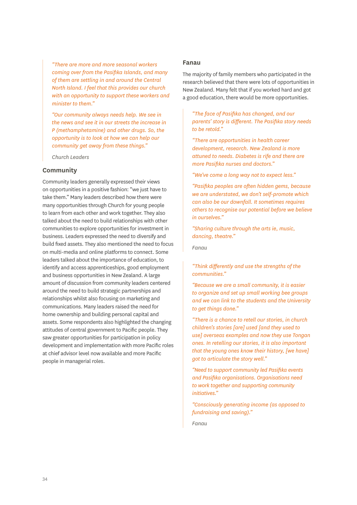*"There are more and more seasonal workers coming over from the Pasifika Islands, and many of them are settling in and around the Central North Island. I feel that this provides our church with an opportunity to support these workers and minister to them."*

*"Our community always needs help. We see in the news and see it in our streets the increase in P (methamphetamine) and other drugs. So, the opportunity is to look at how we can help our community get away from these things."*

*Church Leaders*

#### **Community**

Community leaders generally expressed their views on opportunities in a positive fashion: "we just have to take them." Many leaders described how there were many opportunities through Church for young people to learn from each other and work together. They also talked about the need to build relationships with other communities to explore opportunities for investment in business. Leaders expressed the need to diversify and build fixed assets. They also mentioned the need to focus on multi-media and online platforms to connect. Some leaders talked about the importance of education, to identify and access apprenticeships, good employment and business opportunities in New Zealand. A large amount of discussion from community leaders centered around the need to build strategic partnerships and relationships whilst also focusing on marketing and communications. Many leaders raised the need for home ownership and building personal capital and assets. Some respondents also highlighted the changing attitudes of central government to Pacific people. They saw greater opportunities for participation in policy development and implementation with more Pacific roles at chief advisor level now available and more Pacific people in managerial roles.

#### **Fanau**

The majority of family members who participated in the research believed that there were lots of opportunities in New Zealand. Many felt that if you worked hard and got a good education, there would be more opportunities.

*"The face of Pasifika has changed, and our parents' story is different. The Pasifika story needs to be retold."*

*"There are opportunities in health career development, research. New Zealand is more attuned to needs. Diabetes is rife and there are more Pasifika nurses and doctors."*

*"We've come a long way not to expect less."*

*"Pasifika peoples are often hidden gems, because we are understated, we don't self-promote which can also be our downfall. It sometimes requires others to recognise our potential before we believe in ourselves."*

*"Sharing culture through the arts ie, music, dancing, theatre."*

*Fanau*

*"Think differently and use the strengths of the communities."*

*"Because we are a small community, it is easier to organize and set up small working bee groups and we can link to the students and the University to get things done."*

*"There is a chance to retell our stories, in church children's stories [are] used [and they used to use] overseas examples and now they use Tongan ones. In retelling our stories, it is also important that the young ones know their history, [we have] got to articulate the story well."*

*"Need to support community led Pasifika events and Pasifika organisations. Organisations need to work together and supporting community initiatives."*

*"Consciously generating income (as opposed to fundraising and saving)."*

*Fanau*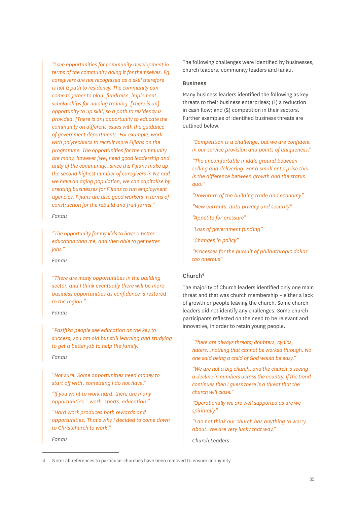*"I see opportunities for community development in terms of the community doing it for themselves. Eg, caregivers are not recognised as a skill therefore is not a path to residency. The community can come together to plan, fundraise, implement scholarships for nursing training. [There is an] opportunity to up skill, so a path to residency is provided. [There is an] opportunity to educate the community on different issues with the guidance of government departments. For example, work with polytechnics to recruit more Fijians on the programme. The opportunities for the community are many, however [we] need good leadership and unity of the community…since the Fijians make up the second highest number of caregivers in NZ and we have an aging population, we can capitalise by creating businesses for Fijians to run employment agencies. Fijians are also good workers in terms of construction for the rebuild and fruit farms."*

*Fanau*

*"The opportunity for my kids to have a better education than me, and then able to get better jobs."*

*Fanau*

*"There are many opportunities in the building sector, and I think eventually there will be more business opportunities as confidence is restored to the region."*

*Fanau*

*"Pasifika people see education as the key to success, so I am old but still learning and studying to get a better job to help the family."*

*Fanau*

*"Not sure. Some opportunities need money to start off with, something I do not have."*

*"If you want to work hard, there are many opportunities – work, sports, education."*

*"Hard work produces both rewards and opportunities. That's why I decided to come down to Christchurch to work."*

*Fanau*

The following challenges were identified by businesses, church leaders, community leaders and fanau.

#### Business

Many business leaders identified the following as key threats to their business enterprises; (1) a reduction in cash flow; and (2) competition in their sectors. Further examples of identified business threats are outlined below.

*"Competition is a challenge, but we are confident in our service provision and points of uniqueness."*

*"The uncomfortable middle ground between selling and delivering. For a small enterprise this is the difference between growth and the status quo."*

*"Downturn of the building trade and economy"*

*"New entrants, data privacy and security"*

*"Appetite for pressure"*

*"Loss of government funding"*

*"Changes in policy"*

*"Processes for the pursuit of philanthropic dollar too onerous"*

#### Church<sup>4</sup>

The majority of Church leaders identified only one main threat and that was church membership – either a lack of growth or people leaving the church. Some church leaders did not identify any challenges. Some church participants reflected on the need to be relevant and innovative, in order to retain young people.

*"There are always threats; doubters, cynics, haters…nothing that cannot be worked through. No one said being a child of God would be easy."*

*"We are not a big church, and the church is seeing a decline in numbers across the country. If the trend continues then I guess there is a threat that the church will close."*

*"Operationally we are well supported as are we spiritually."*

*"I do not think our church has anything to worry about. We are very lucky that way."*

*Church Leaders*

<sup>4</sup> Note: all references to particular churches have been removed to ensure anonymity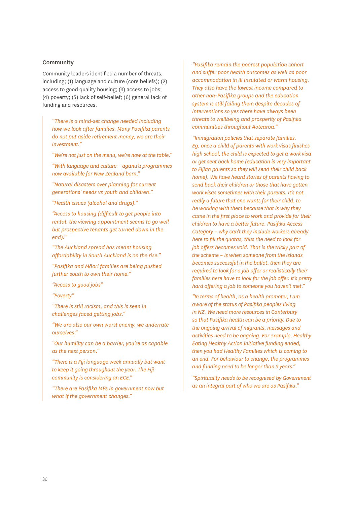#### Community

Community leaders identified a number of threats, including; (1) language and culture (core beliefs); (2) access to good quality housing; (3) access to jobs; (4) poverty; (5) lack of self-belief; (6) general lack of funding and resources.

*"There is a mind-set change needed including how we look after families. Many Pasifika parents do not put aside retirement money, we are their investment."*

*"We're not just on the menu, we're now at the table."*

*"With language and culture – aganu'u programmes now available for New Zealand born."*

*"Natural disasters over planning for current generations' needs vs youth and children."* 

*"Health issues (alcohol and drugs)."*

*"Access to housing (difficult to get people into rental, the viewing appointment seems to go well but prospective tenants get turned down in the end)."*

*"The Auckland spread has meant housing affordability in South Auckland is on the rise."* 

*"Pasifika and Māori families are being pushed further south to own their home."* 

*"Access to good jobs"*

*"Poverty"*

*"There is still racism, and this is seen in challenges faced getting jobs."*

*"We are also our own worst enemy, we underrate ourselves."*

*"Our humility can be a barrier, you're as capable as the next person."*

*"There is a Fiji language week annually but want to keep it going throughout the year. The Fiji community is considering an ECE."*

*"There are Pasifika MPs in government now but what if the government changes."*

*"Pasifika remain the poorest population cohort and suffer poor health outcomes as well as poor accommodation in ill insulated or warm housing. They also have the lowest income compared to other non-Pasifika groups and the education system is still failing them despite decades of interventions so yes there have always been threats to wellbeing and prosperity of Pasifika communities throughout Aotearoa."*

*"Immigration policies that separate families. Eg, once a child of parents with work visas finishes high school, the child is expected to get a work visa or get sent back home (education is very important to Fijian parents so they will send their child back home). We have heard stories of parents having to send back their children or those that have gotten work visas sometimes with their parents. It's not really a future that one wants for their child, to be working with them because that is why they came in the first place to work and provide for their children to have a better future. Pasifika Access Category – why can't they include workers already here to fill the quotas, thus the need to look for job offers becomes void. That is the tricky part of the scheme – is when someone from the islands becomes successful in the ballot, then they are required to look for a job offer or realistically their families here have to look for the job offer. It's pretty hard offering a job to someone you haven't met."*

*"In terms of health, as a health promoter, I am aware of the status of Pasifika peoples living in NZ. We need more resources in Canterbury so that Pasifika health can be a priority. Due to the ongoing arrival of migrants, messages and activities need to be ongoing. For example, Healthy Eating Healthy Action initiative funding ended, then you had Healthy Families which is coming to an end. For behaviour to change, the programmes and funding need to be longer than 3 years."*

*"Spirituality needs to be recognised by Government as an integral part of who we are as Pasifika."*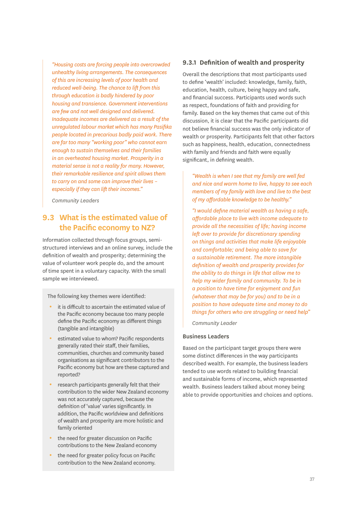*"Housing costs are forcing people into overcrowded unhealthy living arrangements. The consequences of this are increasing levels of poor health and reduced well-being. The chance to lift from this through education is badly hindered by poor housing and transience. Government interventions are few and not well designed and delivered. Inadequate incomes are delivered as a result of the unregulated labour market which has many Pasifika people located in precarious badly paid work. There are far too many "working poor" who cannot earn enough to sustain themselves and their families in an overheated housing market. Prosperity in a material sense is not a reality for many. However, their remarkable resilience and spirit allows them to carry on and some can improve their lives – especially if they can lift their incomes."*

*Community Leaders*

## **9.3 What is the estimated value of the Pacific economy to NZ?**

Information collected through focus groups, semistructured interviews and an online survey, include the definition of wealth and prosperity; determining the value of volunteer work people do, and the amount of time spent in a voluntary capacity. With the small sample we interviewed.

The following key themes were identified:

- $\cdot$  it is difficult to ascertain the estimated value of the Pacific economy because too many people define the Pacific economy as different things (tangible and intangible)
- estimated value to whom? Pacific respondents generally rated their staff, their families, communities, churches and community based organisations as significant contributors to the Pacific economy but how are these captured and reported?
- research participants generally felt that their contribution to the wider New Zealand economy was not accurately captured, because the definition of 'value' varies significantly. In addition, the Pacific worldview and definitions of wealth and prosperity are more holistic and family oriented
- the need for greater discussion on Pacific contributions to the New Zealand economy
- $\bullet$  the need for greater policy focus on Pacific contribution to the New Zealand economy.

#### **9.3.1 Definition of wealth and prosperity**

Overall the descriptions that most participants used to define 'wealth' included: knowledge, family, faith, education, health, culture, being happy and safe, and financial success. Participants used words such as respect, foundations of faith and providing for family. Based on the key themes that came out of this discussion, it is clear that the Pacific participants did not believe financial success was the only indicator of wealth or prosperity. Participants felt that other factors such as happiness, health, education, connectedness with family and friends and faith were equally significant, in defining wealth.

*"Wealth is when I see that my family are well fed and nice and warm home to live, happy to see each members of my family with love and live to the best of my affordable knowledge to be healthy."*

*"I would define material wealth as having a safe, affordable place to live with income adequate to provide all the necessities of life; having income left over to provide for discretionary spending on things and activities that make life enjoyable and comfortable; and being able to save for a sustainable retirement. The more intangible definition of wealth and prosperity provides for the ability to do things in life that allow me to help my wider family and community. To be in a position to have time for enjoyment and fun (whatever that may be for you) and to be in a position to have adequate time and money to do things for others who are struggling or need help"*

*Community Leader*

#### Business Leaders

Based on the participant target groups there were some distinct differences in the way participants described wealth. For example, the business leaders tended to use words related to building financial and sustainable forms of income, which represented wealth. Business leaders talked about money being able to provide opportunities and choices and options.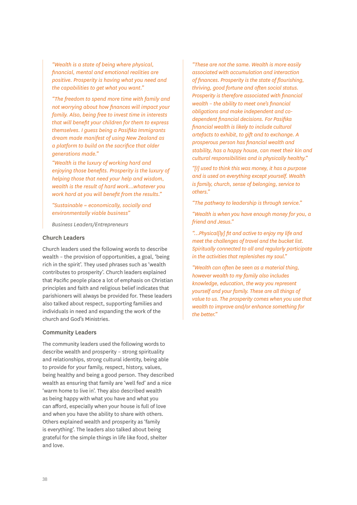*"Wealth is a state of being where physical, financial, mental and emotional realities are positive. Prosperity is having what you need and the capabilities to get what you want."*

*"The freedom to spend more time with family and not worrying about how finances will impact your family. Also, being free to invest time in interests that will benefit your children for them to express themselves. I guess being a Pasifika Immigrants dream made manifest of using New Zealand as a platform to build on the sacrifice that older generations made."*

*"Wealth is the luxury of working hard and enjoying those benefits. Prosperity is the luxury of helping those that need your help and wisdom, wealth is the result of hard work...whatever you work hard at you will benefit from the results."*

*"Sustainable = economically, socially and environmentally viable business"*

*Business Leaders/Entrepreneurs*

#### Church Leaders

Church leaders used the following words to describe wealth – the provision of opportunities, a goal, 'being rich in the spirit'. They used phrases such as 'wealth contributes to prosperity'. Church leaders explained that Pacific people place a lot of emphasis on Christian principles and faith and religious belief indicates that parishioners will always be provided for. These leaders also talked about respect, supporting families and individuals in need and expanding the work of the church and God's Ministries.

#### Community Leaders

The community leaders used the following words to describe wealth and prosperity – strong spirituality and relationships, strong cultural identity, being able to provide for your family, respect, history, values, being healthy and being a good person. They described wealth as ensuring that family are 'well fed' and a nice 'warm home to live in'. They also described wealth as being happy with what you have and what you can afford, especially when your house is full of love and when you have the ability to share with others. Others explained wealth and prosperity as 'family is everything'. The leaders also talked about being grateful for the simple things in life like food, shelter and love.

*"These are not the same. Wealth is more easily associated with accumulation and interaction of finances. Prosperity is the state of flourishing, thriving, good fortune and often social status. Prosperity is therefore associated with financial wealth – the ability to meet one's financial obligations and make independent and codependent financial decisions. For Pasifika financial wealth is likely to include cultural artefacts to exhibit, to gift and to exchange. A prosperous person has financial wealth and stability, has a happy house, can meet their kin and cultural responsibilities and is physically healthy."*

*"[I] used to think this was money, it has a purpose and is used on everything except yourself. Wealth is family, church, sense of belonging, service to others."*

*"The pathway to leadership is through service."*

*"Wealth is when you have enough money for you, a friend and Jesus."*

*"…Physical[ly] fit and active to enjoy my life and meet the challenges of travel and the bucket list. Spiritually connected to all and regularly participate in the activities that replenishes my soul."*

*"Wealth can often be seen as a material thing, however wealth to my family also includes knowledge, education, the way you represent yourself and your family. These are all things of value to us. The prosperity comes when you use that wealth to improve and/or enhance something for the better."*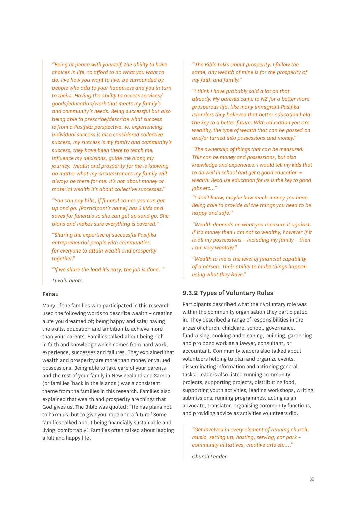*"Being at peace with yourself, the ability to have choices in life, to afford to do what you want to do, live how you want to live, be surrounded by people who add to your happiness and you in turn to theirs. Having the ability to access services/ goods/education/work that meets my family's and community's needs. Being successful but also being able to prescribe/describe what success is from a Pasifika perspective. ie, experiencing individual success is also considered collective success, my success is my family and community's success, they have been there to teach me, influence my decisions, guide me along my journey. Wealth and prosperity for me is knowing no matter what my circumstances my family will always be there for me. It's not about money or material wealth it's about collective successes."*

*"You can pay bills, if funeral comes you can get up and go. [Participant's name] has 3 kids and saves for funerals so she can get up sand go. She plans and makes sure everything is covered."*

*"Sharing the expertise of successful Pasifika entrepreneurial people with communities for everyone to attain wealth and prosperity together."*

*"If we share the load it's easy, the job is done. "*

*Tuvalu quote.*

#### Fanau

Many of the families who participated in this research used the following words to describe wealth – creating a life you dreamed of; being happy and safe; having the skills, education and ambition to achieve more than your parents. Families talked about being rich in faith and knowledge which comes from hard work, experience, successes and failures. They explained that wealth and prosperity are more than money or valued possessions. Being able to take care of your parents and the rest of your family in New Zealand and Samoa (or families 'back in the islands') was a consistent theme from the families in this research. Families also explained that wealth and prosperity are things that God gives us. The Bible was quoted: "He has plans not to harm us, but to give you hope and a future.' Some families talked about being financially sustainable and living 'comfortably'. Families often talked about leading a full and happy life.

*"The Bible talks about prosperity. I follow the same, any wealth of mine is for the prosperity of my faith and family."*

*"I think I have probably said a lot on that already. My parents came to NZ for a better more prosperous life, like many immigrant Pasifika Islanders they believed that better education held the key to a better future. With education you are wealthy, the type of wealth that can be passed on and/or turned into possessions and money."*

*"The ownership of things that can be measured. This can be money and possessions, but also knowledge and experience. I would tell my kids that to do well in school and get a good education = wealth. Because education for us is the key to good jobs etc..."*

*"I don't know, maybe how much money you have. Being able to provide all the things you need to be happy and safe."*

*"Wealth depends on what you measure it against. If it's money then I am not so wealthy, however if it is all my possessions – including my family – then I am very wealthy."*

*"Wealth to me is the level of financial capability of a person. Their ability to make things happen using what they have."*

#### **9.3.2 Types of Voluntary Roles**

Participants described what their voluntary role was within the community organisation they participated in. They described a range of responsibilities in the areas of church, childcare, school, governance, fundraising, cooking and cleaning, building, gardening and pro bono work as a lawyer, consultant, or accountant. Community leaders also talked about volunteers helping to plan and organize events, disseminating information and actioning general tasks. Leaders also listed running community projects, supporting projects, distributing food, supporting youth activities, leading workshops, writing submissions, running programmes, acting as an advocate, translator, organising community functions, and providing advice as activities volunteers did.

*"Get involved in every element of running church, music, setting up, hosting, serving, car park – community initiatives, creative arts etc.…"*

*Church Leader*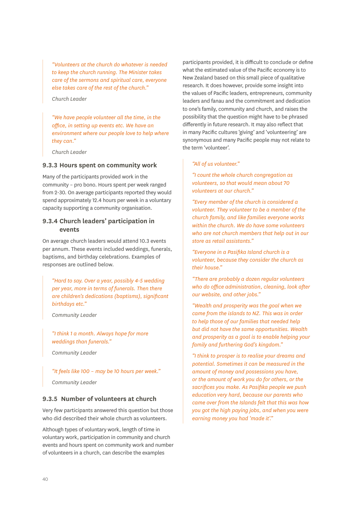*"Volunteers at the church do whatever is needed to keep the church running. The Minister takes care of the sermons and spiritual care, everyone else takes care of the rest of the church."*

#### *Church Leader*

*"We have people volunteer all the time, in the office, in setting up events etc. We have an environment where our people love to help where they can."*

*Church Leader*

#### **9.3.3 Hours spent on community work**

Many of the participants provided work in the community – pro bono. Hours spent per week ranged from 2-30. On average participants reported they would spend approximately 12.4 hours per week in a voluntary capacity supporting a community organisation.

#### **9.3.4 Church leaders' participation in events**

On average church leaders would attend 10.3 events per annum. These events included weddings, funerals, baptisms, and birthday celebrations. Examples of responses are outlined below.

*"Hard to say. Over a year, possibly 4-5 wedding per year, more in terms of funerals. Then there are children's dedications (baptisms), significant birthdays etc."*

*Community Leader*

*"I think 1 a month. Always hope for more weddings than funerals."* 

*Community Leader*

### *"It feels like 100 – may be 10 hours per week."*

*Community Leader*

#### **9.3.5 Number of volunteers at church**

Very few participants answered this question but those who did described their whole church as volunteers

Although types of voluntary work, length of time in voluntary work, participation in community and church events and hours spent on community work and number of volunteers in a church, can describe the examples

participants provided, it is difficult to conclude or define what the estimated value of the Pacific economy is to New Zealand based on this small piece of qualitative research. It does however, provide some insight into the values of Pacific leaders, entrepreneurs, community leaders and fanau and the commitment and dedication to one's family, community and church, and raises the possibility that the question might have to be phrased differently in future research. It may also reflect that in many Pacific cultures 'giving' and 'volunteering' are synonymous and many Pacific people may not relate to the term 'volunteer'.

#### *"All of us volunteer."*

*"I count the whole church congregation as volunteers, so that would mean about 70 volunteers at our church."*

*"Every member of the church is considered a volunteer. They volunteer to be a member of the church family, and like families everyone works within the church. We do have some volunteers who are not church members that help out in our store as retail assistants."*

*"Everyone in a Pasifika Island church is a volunteer, because they consider the church as their house."*

*"There are probably a dozen regular volunteers who do office administration, cleaning, look after our website, and other jobs."*

*"Wealth and prosperity was the goal when we came from the islands to NZ. This was in order to help those of our families that needed help but did not have the same opportunities. Wealth and prosperity as a goal is to enable helping your family and furthering God's kingdom."*

*"I think to prosper is to realise your dreams and potential. Sometimes it can be measured in the amount of money and possessions you have, or the amount of work you do for others, or the sacrifices you make. As Pasifika people we push education very hard, because our parents who came over from the Islands felt that this was how you got the high paying jobs, and when you were earning money you had 'made it'."*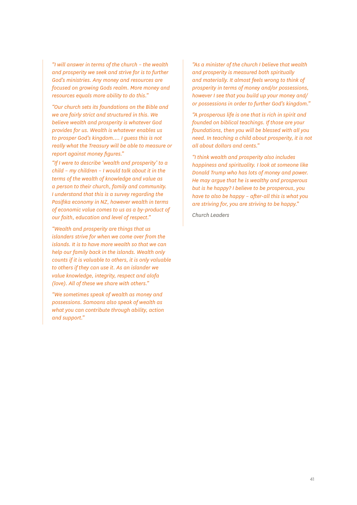*"I will answer in terms of the church – the wealth and prosperity we seek and strive for is to further God's ministries. Any money and resources are focused on growing Gods realm. More money and resources equals more ability to do this."*

*"Our church sets its foundations on the Bible and we are fairly strict and structured in this. We believe wealth and prosperity is whatever God provides for us. Wealth is whatever enables us to prosper God's kingdom…. I guess this is not really what the Treasury will be able to measure or report against money figures."*

*"If I were to describe 'wealth and prosperity' to a child – my children – I would talk about it in the terms of the wealth of knowledge and value as a person to their church, family and community. I understand that this is a survey regarding the Pasifika economy in NZ, however wealth in terms of economic value comes to us as a by-product of our faith, education and level of respect."*

*"Wealth and prosperity are things that us islanders strive for when we come over from the islands. It is to have more wealth so that we can help our family back in the islands. Wealth only counts if it is valuable to others, it is only valuable to others if they can use it. As an islander we value knowledge, integrity, respect and alofa (love). All of these we share with others."*

*"We sometimes speak of wealth as money and possessions. Samoans also speak of wealth as what you can contribute through ability, action and support."*

*"As a minister of the church I believe that wealth and prosperity is measured both spiritually and materially. It almost feels wrong to think of prosperity in terms of money and/or possessions, however I see that you build up your money and/ or possessions in order to further God's kingdom."* 

*"A prosperous life is one that is rich in spirit and founded on biblical teachings. If those are your foundations, then you will be blessed with all you need. In teaching a child about prosperity, it is not all about dollars and cents."*

*"I think wealth and prosperity also includes happiness and spirituality. I look at someone like Donald Trump who has lots of money and power. He may argue that he is wealthy and prosperous but is he happy? I believe to be prosperous, you have to also be happy – after-all this is what you are striving for, you are striving to be happy."*

*Church Leaders*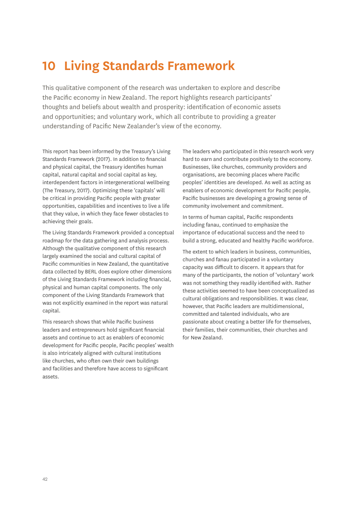# <span id="page-45-0"></span>**10 Living Standards Framework**

This qualitative component of the research was undertaken to explore and describe the Pacific economy in New Zealand. The report highlights research participants' thoughts and beliefs about wealth and prosperity: identification of economic assets and opportunities; and voluntary work, which all contribute to providing a greater understanding of Pacific New Zealander's view of the economy.

This report has been informed by the Treasury's Living Standards Framework (2017). In addition to financial and physical capital, the Treasury identifies human capital, natural capital and social capital as key, interdependent factors in intergenerational wellbeing (The Treasury, 2017). Optimizing these 'capitals' will be critical in providing Pacific people with greater opportunities, capabilities and incentives to live a life that they value, in which they face fewer obstacles to achieving their goals.

The Living Standards Framework provided a conceptual roadmap for the data gathering and analysis process. Although the qualitative component of this research largely examined the social and cultural capital of Pacific communities in New Zealand, the quantitative data collected by BERL does explore other dimensions of the Living Standards Framework including financial, physical and human capital components. The only component of the Living Standards Framework that was not explicitly examined in the report was natural capital.

This research shows that while Pacific business leaders and entrepreneurs hold significant financial assets and continue to act as enablers of economic development for Pacific people, Pacific peoples' wealth is also intricately aligned with cultural institutions like churches, who often own their own buildings and facilities and therefore have access to significant assets.

The leaders who participated in this research work very hard to earn and contribute positively to the economy. Businesses, like churches, community providers and organisations, are becoming places where Pacific peoples' identities are developed. As well as acting as enablers of economic development for Pacific people, Pacific businesses are developing a growing sense of community involvement and commitment.

In terms of human capital, Pacific respondents including fanau, continued to emphasize the importance of educational success and the need to build a strong, educated and healthy Pacific workforce.

The extent to which leaders in business, communities, churches and fanau participated in a voluntary capacity was difficult to discern. It appears that for many of the participants, the notion of 'voluntary' work was not something they readily identified with. Rather these activities seemed to have been conceptualized as cultural obligations and responsibilities. It was clear, however, that Pacific leaders are multidimensional, committed and talented individuals, who are passionate about creating a better life for themselves, their families, their communities, their churches and for New Zealand.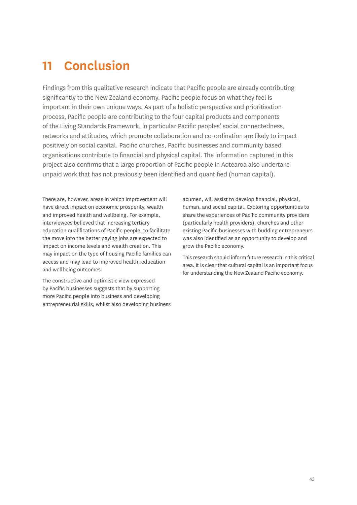# <span id="page-46-0"></span>**11 Conclusion**

Findings from this qualitative research indicate that Pacific people are already contributing significantly to the New Zealand economy. Pacific people focus on what they feel is important in their own unique ways. As part of a holistic perspective and prioritisation process, Pacific people are contributing to the four capital products and components of the Living Standards Framework, in particular Pacific peoples' social connectedness, networks and attitudes, which promote collaboration and co-ordination are likely to impact positively on social capital. Pacific churches, Pacific businesses and community based organisations contribute to financial and physical capital. The information captured in this project also confirms that a large proportion of Pacific people in Aotearoa also undertake unpaid work that has not previously been identified and quantified (human capital).

There are, however, areas in which improvement will have direct impact on economic prosperity, wealth and improved health and wellbeing. For example, interviewees believed that increasing tertiary education qualifications of Pacific people, to facilitate the move into the better paying jobs are expected to impact on income levels and wealth creation. This may impact on the type of housing Pacific families can access and may lead to improved health, education and wellbeing outcomes.

The constructive and optimistic view expressed by Pacific businesses suggests that by supporting more Pacific people into business and developing entrepreneurial skills, whilst also developing business

acumen, will assist to develop financial, physical, human, and social capital. Exploring opportunities to share the experiences of Pacific community providers (particularly health providers), churches and other existing Pacific businesses with budding entrepreneurs was also identified as an opportunity to develop and grow the Pacific economy.

This research should inform future research in this critical area. It is clear that cultural capital is an important focus for understanding the New Zealand Pacific economy.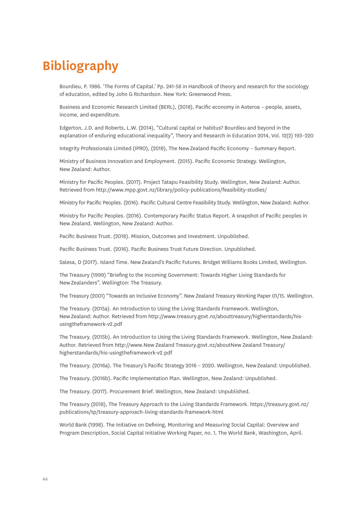# <span id="page-47-0"></span>**Bibliography**

Bourdieu, P. 1986. 'The Forms of Capital.' Pp. 241-58 in Handbook of theory and research for the sociology of education, edited by John G Richardson. New York: Greenwood Press.

Business and Economic Research Limited (BERL), (2018), Pacific economy in Aoteroa – people, assets, income, and expenditure.

Edgerton, J.D. and Roberts, L.W. (2014), "Cultural capital or habitus? Bourdieu and beyond in the explanation of enduring educational inequality", Theory and Research in Education 2014, Vol. 12(2) 193–220

Integrity Professionals Limited (IPRO), (2018), The New Zealand Pacific Economy – Summary Report.

Ministry of Business Innovation and Employment. (2015). Pacific Economic Strategy. Wellington, New Zealand: Author.

Ministry for Pacific Peoples. (2017). Project Tatapu Feasibility Study. Wellington, New Zealand: Author. Retrieved from<http://www.mpp.govt.nz/library/policy-publications/feasibility-studies/>

Ministry for Pacific Peoples. (2016). Pacific Cultural Centre Feasibility Study. Wellington, New Zealand: Author.

Ministry for Pacific Peoples. (2016). Contemporary Pacific Status Report. A snapshot of Pacific peoples in New Zealand. Wellington, New Zealand: Author.

Pacific Business Trust. (2018). Mission, Outcomes and Investment. Unpublished.

Pacific Business Trust. (2016). Pacific Business Trust Future Direction. Unpublished.

Salesa, D (2017). Island Time. New Zealand's Pacific Futures. Bridget Williams Books Limited, Wellington.

The Treasury (1999) "Briefing to the Incoming Government: Towards Higher Living Standards for New Zealanders". Wellington: The Treasury.

The Treasury (2001) "Towards an Inclusive Economy". New Zealand Treasury Working Paper 01/15. Wellington.

The Treasury. (2015a). An Introduction to Using the Living Standards Framework. Wellington, New Zealand: Author. Retrieved from http://www.treasury.govt.nz/abouttreasury/higherstandards/hisusingtheframework-v2.pdf

The Treasury. (2015b). An Introduction to Using the Living Standards Framework. Wellington, New Zealand: Author. Retrieved from http://www.New Zealand Treasury.govt.nz/aboutNew Zealand Treasury/ higherstandards/his-usingtheframework-v2.pdf

The Treasury. (2016a). The Treasury's Pacific Strategy 2016 – 2020. Wellington, New Zealand: Unpublished.

The Treasury. (2016b). Pacific Implementation Plan. Wellington, New Zealand: Unpublished.

The Treasury. (2017). Procurement Brief. Wellington, New Zealand: Unpublished.

The Treasury (2018), The Treasury Approach to the Living Standards Framework. https://treasury.govt.nz/ publications/tp/treasury-approach-living-standards-framework-html

World Bank (1998). The Initiative on Defining, Monitoring and Measuring Social Capital: Overview and Program Description, Social Capital Initiative Working Paper, no. 1, The World Bank, Washington, April.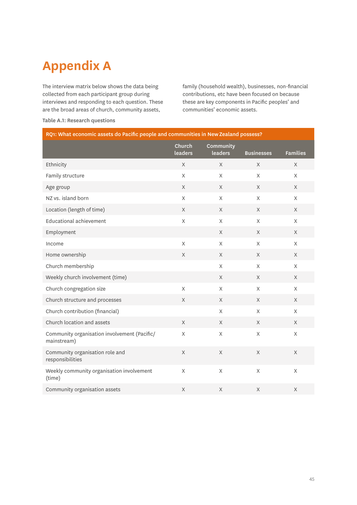# **Appendix A**

The interview matrix below shows the data being collected from each participant group during interviews and responding to each question. These are the broad areas of church, community assets,

family (household wealth), businesses, non-financial contributions, etc have been focused on because these are key components in Pacific peoples' and communities' economic assets.

| RQ1: What economic assets do Pacific people and communities in New Zealand possess? |                   |                      |                   |                 |  |
|-------------------------------------------------------------------------------------|-------------------|----------------------|-------------------|-----------------|--|
|                                                                                     | Church<br>leaders | Community<br>leaders | <b>Businesses</b> | <b>Families</b> |  |
| Ethnicity                                                                           | X                 | $\times$             | X                 | $\chi$          |  |
| Family structure                                                                    | $\mathsf X$       | $\mathsf{X}$         | $\mathsf{X}$      | $\mathsf X$     |  |
| Age group                                                                           | X                 | X                    | $\mathsf{X}$      | X               |  |
| NZ vs. island born                                                                  | X                 | X                    | X                 | X               |  |
| Location (length of time)                                                           | X                 | X                    | X                 | X               |  |
| <b>Educational achievement</b>                                                      | X                 | X                    | X                 | $\times$        |  |
| Employment                                                                          |                   | $\times$             | $\times$          | X               |  |
| Income                                                                              | $\mathsf X$       | X                    | $\times$          | X               |  |
| Home ownership                                                                      | X                 | X                    | X                 | X               |  |
| Church membership                                                                   |                   | X                    | X                 | X               |  |
| Weekly church involvement (time)                                                    |                   | $\mathsf{X}$         | $\chi$            | $\mathsf{X}$    |  |
| Church congregation size                                                            | $\mathsf X$       | $\mathsf{X}% _{0}$   | X                 | $\mathsf{X}$    |  |
| Church structure and processes                                                      | X                 | X                    | $\times$          | X               |  |
| Church contribution (financial)                                                     |                   | X                    | $\mathsf{X}$      | X               |  |
| Church location and assets                                                          | $\times$          | $\mathsf{X}$         | $\times$          | $\mathsf X$     |  |
| Community organisation involvement (Pacific/<br>mainstream)                         | X                 | X                    | X                 | X               |  |
| Community organisation role and<br>responsibilities                                 | X                 | X                    | X                 | $\times$        |  |
| Weekly community organisation involvement<br>(time)                                 | X                 | X                    | X                 | X               |  |
| Community organisation assets                                                       | $\mathsf X$       | X                    | X                 | $\mathsf X$     |  |

#### Table A.1: Research questions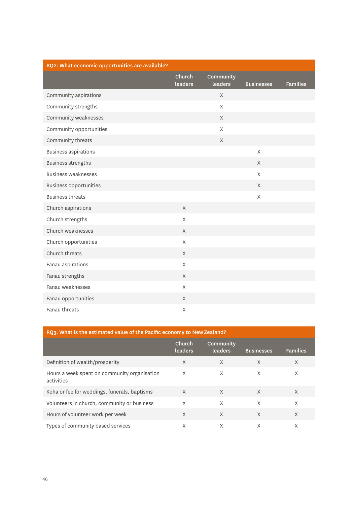<span id="page-49-0"></span>

| RQ2: What economic opportunities are available? |                   |                      |                   |                 |  |
|-------------------------------------------------|-------------------|----------------------|-------------------|-----------------|--|
|                                                 | Church<br>leaders | Community<br>leaders | <b>Businesses</b> | <b>Families</b> |  |
|                                                 |                   |                      |                   |                 |  |
| Community aspirations                           |                   | $\times$             |                   |                 |  |
| Community strengths                             |                   | X                    |                   |                 |  |
| Community weaknesses                            |                   | X                    |                   |                 |  |
| Community opportunities                         |                   | X                    |                   |                 |  |
| Community threats                               |                   | $\chi$               |                   |                 |  |
| <b>Business aspirations</b>                     |                   |                      | X                 |                 |  |
| <b>Business strengths</b>                       |                   |                      | $\times$          |                 |  |
| <b>Business weaknesses</b>                      |                   |                      | $\mathsf{X}$      |                 |  |
| <b>Business opportunities</b>                   |                   |                      | $\chi$            |                 |  |
| <b>Business threats</b>                         |                   |                      | $\mathsf{X}$      |                 |  |
| Church aspirations                              | $\chi$            |                      |                   |                 |  |
| Church strengths                                | $\times$          |                      |                   |                 |  |
| Church weaknesses                               | $\times$          |                      |                   |                 |  |
| Church opportunities                            | $\times$          |                      |                   |                 |  |
| Church threats                                  | $\times$          |                      |                   |                 |  |
| Fanau aspirations                               | $\mathsf X$       |                      |                   |                 |  |
| Fanau strengths                                 | $\chi$            |                      |                   |                 |  |
| Fanau weaknesses                                | $\times$          |                      |                   |                 |  |
| Fanau opportunities                             | $\times$          |                      |                   |                 |  |
| Fanau threats                                   | X                 |                      |                   |                 |  |

| RQ3. What is the estimated value of the Pacific economy to New Zealand? |                          |                      |                   |                 |  |
|-------------------------------------------------------------------------|--------------------------|----------------------|-------------------|-----------------|--|
|                                                                         | Church<br><b>leaders</b> | Community<br>leaders | <b>Businesses</b> | <b>Families</b> |  |
| Definition of wealth/prosperity                                         | $\times$                 | $\times$             | X                 | $\times$        |  |
| Hours a week spent on community organisation<br>activities              | X                        | X                    | X                 | X               |  |
| Koha or fee for weddings, funerals, baptisms                            | $\times$                 | X                    | X                 | $\times$        |  |
| Volunteers in church, community or business                             | X                        | X                    | X                 | X               |  |
| Hours of volunteer work per week                                        | X                        | X                    | X                 | X               |  |
| Types of community based services                                       | X                        | X                    | X                 | X               |  |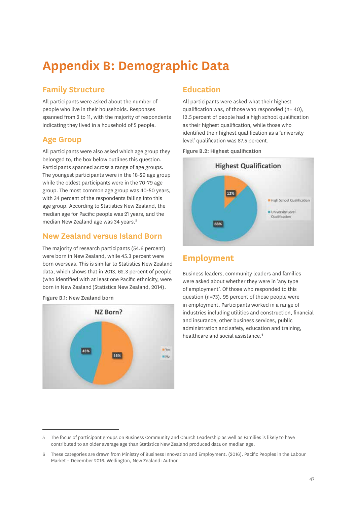# **Appendix B: Demographic Data**

# **Family Structure**

All participants were asked about the number of people who live in their households. Responses spanned from 2 to 11, with the majority of respondents indicating they lived in a household of 5 people.

# **Age Group**

All participants were also asked which age group they belonged to, the box below outlines this question. Participants spanned across a range of age groups. The youngest participants were in the 18-29 age group while the oldest participants were in the 70-79 age group. The most common age group was 40-50 years, with 34 percent of the respondents falling into this age group. According to Statistics New Zealand, the median age for Pacific people was 21 years, and the median New Zealand age was 34 years.<sup>5</sup>

## **New Zealand versus Island Born**

The majority of research participants (54.6 percent) were born in New Zealand, while 45.3 percent were born overseas. This is similar to Statistics New Zealand data, which shows that in 2013, 62.3 percent of people (who identified with at least one Pacific ethnicity, were born in New Zealand (Statistics New Zealand, 2014).





# **Education**

All participants were asked what their highest qualification was, of those who responded  $(n= 40)$ , 12.5 percent of people had a high school qualification as their highest qualification, while those who identified their highest qualification as a 'university level' qualification was 87.5 percent.

Figure B.2: Highest qualification



# **Employment**

Business leaders, community leaders and families were asked about whether they were in 'any type of employment'. Of those who responded to this question (n=73), 95 percent of those people were in employment. Participants worked in a range of industries including utilities and construction, financial and insurance, other business services, public administration and safety, education and training, healthcare and social assistance.<sup>6</sup>

<sup>5</sup> The focus of participant groups on Business Community and Church Leadership as well as Families is likely to have contributed to an older average age than Statistics New Zealand produced data on median age.

<sup>6</sup> These categories are drawn from Ministry of Business Innovation and Employment. (2016). Pacific Peoples in the Labour Market – December 2016. Wellington, New Zealand: Author.